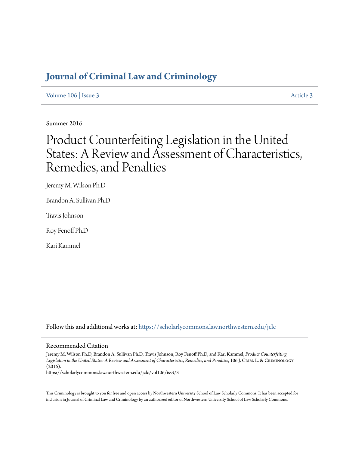# **[Journal of Criminal Law and Criminology](https://scholarlycommons.law.northwestern.edu/jclc?utm_source=scholarlycommons.law.northwestern.edu%2Fjclc%2Fvol106%2Fiss3%2F3&utm_medium=PDF&utm_campaign=PDFCoverPages)**

[Volume 106](https://scholarlycommons.law.northwestern.edu/jclc/vol106?utm_source=scholarlycommons.law.northwestern.edu%2Fjclc%2Fvol106%2Fiss3%2F3&utm_medium=PDF&utm_campaign=PDFCoverPages) | [Issue 3](https://scholarlycommons.law.northwestern.edu/jclc/vol106/iss3?utm_source=scholarlycommons.law.northwestern.edu%2Fjclc%2Fvol106%2Fiss3%2F3&utm_medium=PDF&utm_campaign=PDFCoverPages) [Article 3](https://scholarlycommons.law.northwestern.edu/jclc/vol106/iss3/3?utm_source=scholarlycommons.law.northwestern.edu%2Fjclc%2Fvol106%2Fiss3%2F3&utm_medium=PDF&utm_campaign=PDFCoverPages)

Summer 2016

# Product Counterfeiting Legislation in the United States: A Review and Assessment of Characteristics, Remedies, and Penalties

Jeremy M. Wilson Ph.D

Brandon A. Sullivan Ph.D

Travis Johnson

Roy Fenoff Ph.D

Kari Kammel

Follow this and additional works at: [https://scholarlycommons.law.northwestern.edu/jclc](https://scholarlycommons.law.northwestern.edu/jclc?utm_source=scholarlycommons.law.northwestern.edu%2Fjclc%2Fvol106%2Fiss3%2F3&utm_medium=PDF&utm_campaign=PDFCoverPages)

# Recommended Citation

Jeremy M. Wilson Ph.D, Brandon A. Sullivan Ph.D, Travis Johnson, Roy Fenoff Ph.D, and Kari Kammel, *Product Counterfeiting Legislation in the United States: A Review and Assessment of Characteristics, Remedies, and Penalties*, 106 J. Crim. L. & Criminology (2016).

https://scholarlycommons.law.northwestern.edu/jclc/vol106/iss3/3

This Criminology is brought to you for free and open access by Northwestern University School of Law Scholarly Commons. It has been accepted for inclusion in Journal of Criminal Law and Criminology by an authorized editor of Northwestern University School of Law Scholarly Commons.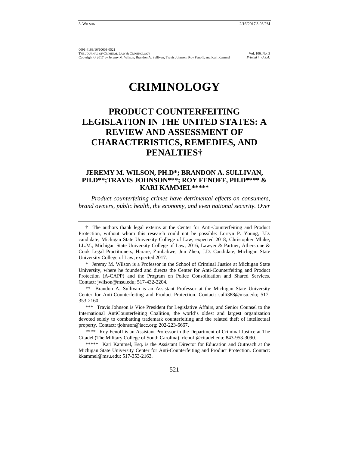# **CRIMINOLOGY**

# **PRODUCT COUNTERFEITING LEGISLATION IN THE UNITED STATES: A REVIEW AND ASSESSMENT OF CHARACTERISTICS, REMEDIES, AND PENALTIES†**

# **JEREMY M. WILSON, PH.D\*; BRANDON A. SULLIVAN, PH.D\*\*;TRAVIS JOHNSON\*\*\*; ROY FENOFF, PH.D\*\*\*\* & KARI KAMMEL\*\*\*\*\***

*Product counterfeiting crimes have detrimental effects on consumers, brand owners, public health, the economy, and even national security. Over* 

\* Jeremy M. Wilson is a Professor in the School of Criminal Justice at Michigan State University, where he founded and directs the Center for Anti-Counterfeiting and Product Protection (A-CAPP) and the Program on Police Consolidation and Shared Services. Contact: jwilson@msu.edu; 517-432-2204.

\*\* Brandon A. Sullivan is an Assistant Professor at the Michigan State University Center for Anti-Counterfeiting and Product Protection. Contact: sulli388@msu.edu; 517- 353-2160.

\*\*\* Travis Johnson is Vice President for Legislative Affairs, and Senior Counsel to the International AntiCounterfeiting Coalition, the world's oldest and largest organization devoted solely to combatting trademark counterfeiting and the related theft of intellectual property. Contact: tjohnson@iacc.org; 202-223-6667.

\*\*\*\* Roy Fenoff is an Assistant Professor in the Department of Criminal Justice at The Citadel (The Military College of South Carolina). rfenoff@citadel.edu; 843-953-3090.

\*\*\*\*\* Kari Kammel, Esq. is the Assistant Director for Education and Outreach at the Michigan State University Center for Anti-Counterfeiting and Product Protection. Contact: kkammel@msu.edu; 517-353-2163.

<sup>†</sup> The authors thank legal externs at the Center for Anti-Counterfeiting and Product Protection, without whom this research could not be possible: Lorryn P. Young, J.D. candidate, Michigan State University College of Law, expected 2018; Christopher Mhike, LL.M., Michigan State University College of Law, 2016, Lawyer & Partner, Atherstone & Cook Legal Practitioners, Harare, Zimbabwe; Jun Zhen, J.D. Candidate, Michigan State University College of Law, expected 2017.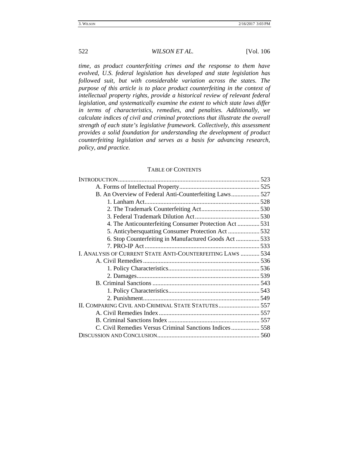*time, as product counterfeiting crimes and the response to them have evolved, U.S. federal legislation has developed and state legislation has followed suit, but with considerable variation across the states. The purpose of this article is to place product counterfeiting in the context of intellectual property rights, provide a historical review of relevant federal legislation, and systematically examine the extent to which state laws differ in terms of characteristics, remedies, and penalties. Additionally, we calculate indices of civil and criminal protections that illustrate the overall strength of each state's legislative framework. Collectively, this assessment provides a solid foundation for understanding the development of product counterfeiting legislation and serves as a basis for advancing research, policy, and practice.* 

## TABLE OF CONTENTS

| B. An Overview of Federal Anti-Counterfeiting Laws 527     |  |
|------------------------------------------------------------|--|
|                                                            |  |
|                                                            |  |
|                                                            |  |
| 4. The Anticounterfeiting Consumer Protection Act531       |  |
|                                                            |  |
| 6. Stop Counterfeiting in Manufactured Goods Act533        |  |
|                                                            |  |
| I. ANALYSIS OF CURRENT STATE ANTI-COUNTERFEITING LAWS  534 |  |
|                                                            |  |
|                                                            |  |
|                                                            |  |
|                                                            |  |
|                                                            |  |
|                                                            |  |
| II. COMPARING CIVIL AND CRIMINAL STATE STATUTES 557        |  |
|                                                            |  |
|                                                            |  |
| C. Civil Remedies Versus Criminal Sanctions Indices558     |  |
|                                                            |  |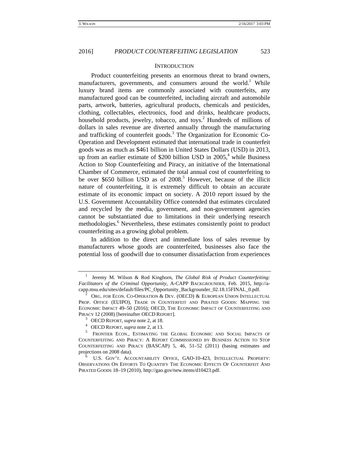#### **INTRODUCTION**

Product counterfeiting presents an enormous threat to brand owners, manufacturers, governments, and consumers around the world.<sup>1</sup> While luxury brand items are commonly associated with counterfeits, any manufactured good can be counterfeited, including aircraft and automobile parts, artwork, batteries, agricultural products, chemicals and pesticides, clothing, collectables, electronics, food and drinks, healthcare products, household products, jewelry, tobacco, and toys.<sup>2</sup> Hundreds of millions of dollars in sales revenue are diverted annually through the manufacturing and trafficking of counterfeit goods.<sup>3</sup> The Organization for Economic Co-Operation and Development estimated that international trade in counterfeit goods was as much as \$461 billion in United States Dollars (USD) in 2013, up from an earlier estimate of \$200 billion USD in  $2005<sup>4</sup>$ , while Business Action to Stop Counterfeiting and Piracy, an initiative of the International Chamber of Commerce, estimated the total annual cost of counterfeiting to be over \$650 billion USD as of 2008.<sup>5</sup> However, because of the illicit nature of counterfeiting, it is extremely difficult to obtain an accurate estimate of its economic impact on society. A 2010 report issued by the U.S. Government Accountability Office contended that estimates circulated and recycled by the media, government, and non-government agencies cannot be substantiated due to limitations in their underlying research methodologies.<sup>6</sup> Nevertheless, these estimates consistently point to product counterfeiting as a growing global problem.

In addition to the direct and immediate loss of sales revenue by manufacturers whose goods are counterfeited, businesses also face the potential loss of goodwill due to consumer dissatisfaction from experiences

<sup>1</sup> Jeremy M. Wilson & Rod Kinghorn, *The Global Risk of Product Counterfeiting: Facilitators of the Criminal Opportunity,* A-CAPP BACKGROUNDER, Feb. 2015, http://acapp.msu.edu/sites/default/files/PC\_Opportunity\_Backgrounder\_02.18.15FINAL\_0.pdf. 2 ORG. FOR ECON. CO-OPERATION & DEV. (OECD) & EUROPEAN UNION INTELLECTUAL

PROP. OFFICE (EUIPO), TRADE IN COUNTERFEIT AND PIRATED GOODS: MAPPING THE ECONOMIC IMPACT 49–50 (2016); OECD, THE ECONOMIC IMPACT OF COUNTERFEITING AND PIRACY 12 (2008) [hereinafter OECD REPORT].<br><sup>3</sup> OECD REPORT, *supra* note 2, at 18.<br><sup>4</sup> OECD REPORT, *supra* note 2, at 13.<br><sup>5</sup> FRONTIER ECON., ESTIMATING THE GLOBAL ECONOMIC AND SOCIAL IMPACTS OF

COUNTERFEITING AND PIRACY: A REPORT COMMISSIONED BY BUSINESS ACTION TO STOP COUNTERFEITING AND PIRACY (BASCAP) 5, 46, 51–52 (2011) (basing estimates and projections on 2008 data).<br><sup>6</sup> U.S. GOV'T. ACCOUNTABILITY OFFICE, GAO-10-423, INTELLECTUAL PROPERTY:

OBSERVATIONS ON EFFORTS TO QUANTIFY THE ECONOMIC EFFECTS OF COUNTERFEIT AND PIRATED GOODS 18–19 (2010), http://gao.gov/new.items/d10423.pdf.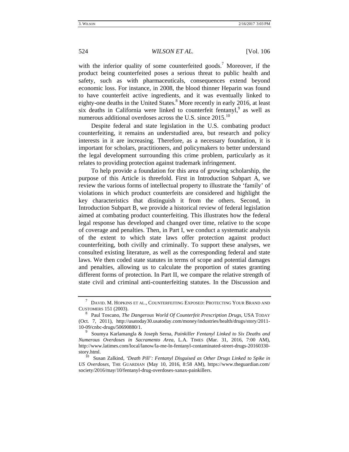with the inferior quality of some counterfeited goods.<sup>7</sup> Moreover, if the product being counterfeited poses a serious threat to public health and safety, such as with pharmaceuticals, consequences extend beyond economic loss. For instance, in 2008, the blood thinner Heparin was found to have counterfeit active ingredients, and it was eventually linked to eighty-one deaths in the United States.<sup>8</sup> More recently in early 2016, at least six deaths in California were linked to counterfeit fentanyl, $9$  as well as numerous additional overdoses across the U.S. since 2015.<sup>10</sup>

Despite federal and state legislation in the U.S. combating product counterfeiting, it remains an understudied area, but research and policy interests in it are increasing. Therefore, as a necessary foundation, it is important for scholars, practitioners, and policymakers to better understand the legal development surrounding this crime problem, particularly as it relates to providing protection against trademark infringement.

To help provide a foundation for this area of growing scholarship, the purpose of this Article is threefold. First in Introduction Subpart A, we review the various forms of intellectual property to illustrate the 'family' of violations in which product counterfeits are considered and highlight the key characteristics that distinguish it from the others. Second, in Introduction Subpart B, we provide a historical review of federal legislation aimed at combating product counterfeiting. This illustrates how the federal legal response has developed and changed over time, relative to the scope of coverage and penalties. Then, in Part I, we conduct a systematic analysis of the extent to which state laws offer protection against product counterfeiting, both civilly and criminally. To support these analyses, we consulted existing literature, as well as the corresponding federal and state laws. We then coded state statutes in terms of scope and potential damages and penalties, allowing us to calculate the proportion of states granting different forms of protection. In Part II, we compare the relative strength of state civil and criminal anti-counterfeiting statutes. In the Discussion and

 $^7$ DAVID. M. HOPKINS ET AL., COUNTERFEITING EXPOSED: PROTECTING YOUR BRAND AND CUSTOMERS 151 (2003). 8 Paul Toscano, *The Dangerous World Of Counterfeit Prescription Drugs*, USA TODAY

<sup>(</sup>Oct. 7, 2011), http://usatoday30.usatoday.com/money/industries/health/drugs/story/2011- 10-09/cnbc-drugs/50690880/1. 9 Soumya Karlamangla & Joseph Serna, *Painkiller Fentanyl Linked to Six Deaths and* 

*Numerous Overdoses in Sacramento Area*, L.A. TIMES (Mar. 31, 2016, 7:00 AM), http://www.latimes.com/local/lanow/la-me-ln-fentanyl-contaminated-street-drugs-20160330 story.html. 10 Susan Zalkind, *'Death Pill': Fentanyl Disguised as Other Drugs Linked to Spike in* 

*US Overdoses,* THE GUARDIAN (May 10, 2016, 8:58 AM), https://www.theguardian.com/ society/2016/may/10/fentanyl-drug-overdoses-xanax-painkillers.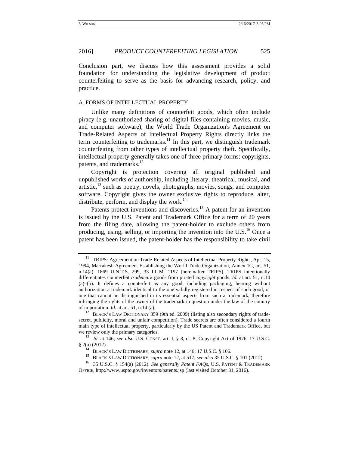Conclusion part, we discuss how this assessment provides a solid foundation for understanding the legislative development of product counterfeiting to serve as the basis for advancing research, policy, and practice.

### A. FORMS OF INTELLECTUAL PROPERTY

Unlike many definitions of counterfeit goods, which often include piracy (e.g. unauthorized sharing of digital files containing movies, music, and computer software), the World Trade Organization's Agreement on Trade-Related Aspects of Intellectual Property Rights directly links the term counterfeiting to trademarks.<sup>11</sup> In this part, we distinguish trademark counterfeiting from other types of intellectual property theft. Specifically, intellectual property generally takes one of three primary forms: copyrights, patents, and trademarks. $^{12}$ 

Copyright is protection covering all original published and unpublished works of authorship, including literary, theatrical, musical, and  $artistic<sup>13</sup>$ , such as poetry, novels, photographs, movies, songs, and computer software. Copyright gives the owner exclusive rights to reproduce, alter, distribute, perform, and display the work.<sup>14</sup>

Patents protect inventions and discoveries.<sup>15</sup> A patent for an invention is issued by the U.S. Patent and Trademark Office for a term of 20 years from the filing date, allowing the patent-holder to exclude others from producing, using, selling, or importing the invention into the U.S.<sup>16</sup> Once a patent has been issued, the patent-holder has the responsibility to take civil

 $11$  TRIPS: Agreement on Trade-Related Aspects of Intellectual Property Rights, Apr. 15, 1994, Marrakesh Agreement Establishing the World Trade Organization, Annex 1C, art. 51, n.14(a), 1869 U.N.T.S. 299, 33 I.L.M. 1197 [hereinafter TRIPS]. TRIPS intentionally differentiates counterfeit *trademark* goods from pirated *copyright* goods. *Id.* at art. 51, n.14 (a)–(b). It defines a counterfeit as any good, including packaging, bearing without authorization a trademark identical to the one validly registered in respect of such good, or one that cannot be distinguished in its essential aspects from such a trademark, therefore infringing the rights of the owner of the trademark in question under the law of the country of importation. *Id.* at art. 51, n.14 (a).<br><sup>12</sup> BLACK's LAW DICTIONARY 359 (9th ed. 2009) (listing also secondary rights of trade-

secret, publicity, moral and unfair competition). Trade secrets are often considered a fourth main type of intellectual property, particularly by the US Patent and Trademark Office, but we review only the primary categories.<br><sup>13</sup> *Id.* at 146; *see also* U.S. CONST. art. I, § 8, cl. 8; Copyright Act of 1976, 17 U.S.C.

<sup>§ 2(</sup>a) (2012).<br>
<sup>14</sup> BLACK's LAW DICTIONARY, *supra* note 12, at 146; 17 U.S.C. § 106.<br>
<sup>15</sup> BLACK's LAW DICTIONARY, *supra* note 12, at 517; *see also* 35 U.S.C. § 101 (2012).<br>
<sup>16</sup> 35 U.S.C. § 154(a) (2012). *See genera* 

OFFICE, http://www.uspto.gov/inventors/patents.jsp (last visited October 31, 2016).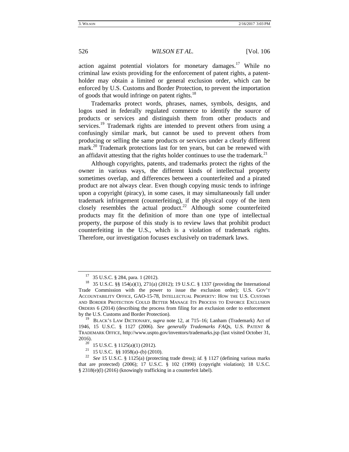action against potential violators for monetary damages.<sup>17</sup> While no criminal law exists providing for the enforcement of patent rights, a patentholder may obtain a limited or general exclusion order, which can be enforced by U.S. Customs and Border Protection, to prevent the importation of goods that would infringe on patent rights. $^{18}$ 

Trademarks protect words, phrases, names, symbols, designs, and logos used in federally regulated commerce to identify the source of products or services and distinguish them from other products and services.<sup>19</sup> Trademark rights are intended to prevent others from using a confusingly similar mark, but cannot be used to prevent others from producing or selling the same products or services under a clearly different mark.<sup>20</sup> Trademark protections last for ten years, but can be renewed with an affidavit attesting that the rights holder continues to use the trademark.<sup>21</sup>

Although copyrights, patents, and trademarks protect the rights of the owner in various ways, the different kinds of intellectual property sometimes overlap, and differences between a counterfeited and a pirated product are not always clear. Even though copying music tends to infringe upon a copyright (piracy), in some cases, it may simultaneously fall under trademark infringement (counterfeiting), if the physical copy of the item closely resembles the actual product.<sup>22</sup> Although some counterfeited products may fit the definition of more than one type of intellectual property, the purpose of this study is to review laws that prohibit product counterfeiting in the U.S., which is a violation of trademark rights. Therefore, our investigation focuses exclusively on trademark laws.

<sup>&</sup>lt;sup>17</sup> 35 U.S.C. § 284, para. 1 (2012).<br><sup>18</sup> 35 U.S.C. §§ 154(a)(1), 271(a) (2012); 19 U.S.C. § 1337 (providing the International Trade Commission with the power to issue the exclusion order); U.S. GOV'T ACCOUNTABILITY OFFICE, GAO-15-78, INTELLECTUAL PROPERTY: HOW THE U.S. CUSTOMS AND BORDER PROTECTION COULD BETTER MANAGE ITS PROCESS TO ENFORCE EXCLUSION ORDERS 6 (2014) (describing the process from filing for an exclusion order to enforcement by the U.S. Customs and Border Protection).

<sup>19</sup> BLACK'S LAW DICTIONARY, *supra* note 12, at 715–16; Lanham (Trademark) Act of 1946, 15 U.S.C. § 1127 (2006). *See generally Trademarks FAQs*, U.S. PATENT & TRADEMARK OFFICE, http://www.uspto.gov/inventors/trademarks.jsp (last visited October 31, 2016).<br><sup>20</sup> 15 U.S.C. § 1125(a)(1) (2012).<br><sup>21</sup> 15 U.S.C. §§ 1058(a)–(b) (2010).<br><sup>22</sup> *See* 15 U.S.C. § 1125(a) (protecting trade dress); *id.* § 1127 (defining various marks

that are protected) (2006); 17 U.S.C. § 102 (1990) (copyright violation); 18 U.S.C. § 2318(e)(l) (2016) (knowingly trafficking in a counterfeit label).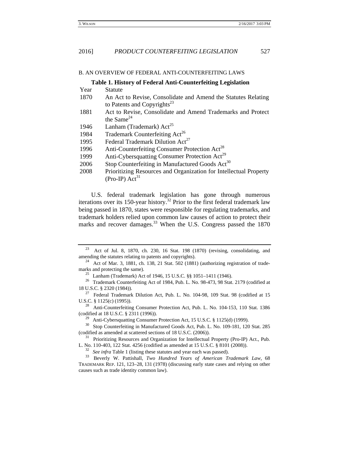## B. AN OVERVIEW OF FEDERAL ANTI-COUNTERFEITING LAWS

# **Table 1. History of Federal Anti-Counterfeiting Legislation**

| Year | Statute                                                           |
|------|-------------------------------------------------------------------|
| 1870 | An Act to Revise, Consolidate and Amend the Statutes Relating     |
|      | to Patents and Copyrights <sup>23</sup>                           |
| 1881 | Act to Revise, Consolidate and Amend Trademarks and Protect       |
|      | the Same $^{24}$                                                  |
| 1946 | Lanham (Trademark) $Act^{25}$                                     |
| 1984 | Trademark Counterfeiting Act <sup>26</sup>                        |
| 1995 | Federal Trademark Dilution Act <sup>27</sup>                      |
| 1996 | Anti-Counterfeiting Consumer Protection Act <sup>28</sup>         |
| 1999 | Anti-Cybersquatting Consumer Protection Act <sup>29</sup>         |
| 2006 | Stop Counterfeiting in Manufactured Goods Act <sup>30</sup>       |
| 2000 | Drioritizing Descurses and Organization for Intellectual Dreporty |

2008 Prioritizing Resources and Organization for Intellectual Property (Pro-IP)  $Act^{31}$ 

U.S. federal trademark legislation has gone through numerous iterations over its 150-year history.<sup>32</sup> Prior to the first federal trademark law being passed in 1870, states were responsible for regulating trademarks, and trademark holders relied upon common law causes of action to protect their marks and recover damages.<sup>33</sup> When the U.S. Congress passed the 1870

<sup>29</sup> Anti-Cybersquatting Consumer Protection Act, 15 U.S.C. § 1125(d) (1999).<br><sup>30</sup> Stop Counterfeiting in Manufactured Goods Act, Pub. L. No. 109-181, 120 Stat. 285

(codified as amended at scattered sections of 18 U.S.C. (2006)). 31 Prioritizing Resources and Organization for Intellectual Property (Pro-IP) Act., Pub.

L. No. 110-403, 122 Stat. 4256 (codified as amended at 15 U.S.C. § 8101 (2008)).<br><sup>32</sup> See infra Table 1 (listing these statutes and year each was passed).<br><sup>33</sup> Beverly W. Pattishall, *Two Hundred Years of American Trademar* 

TRADEMARK REP. 121, 123–28, 131 (1978) (discussing early state cases and relying on other causes such as trade identity common law).

 $23$  Act of Jul. 8, 1870, ch. 230, 16 Stat. 198 (1870) (revising, consolidating, and amending the statutes relating to patents and copyrights).<br><sup>24</sup> Act of Mar. 3, 1881, ch. 138, 21 Stat. 502 (1881) (authorizing registration of trade-

marks and protecting the same).<br><sup>25</sup> Lanham (Trademark) Act of 1946, 15 U.S.C. §§ 1051–1411 (1946).<br><sup>26</sup> Trademark Counterfeiting Act of 1984, Pub. L. No. 98-473, 98 Stat. 2179 (codified at

<sup>18</sup> U.S.C. § 2320 (1984)). 27 Federal Trademark Dilution Act, Pub. L. No. 104-98, 109 Stat. 98 (codified at 15

U.S.C. § 1125(c) (1995)). 28 Anti-Counterfeiting Consumer Protection Act, Pub. L. No. 104-153, 110 Stat. 1386

<sup>(</sup>codified at 18 U.S.C. § 2311 (1996)).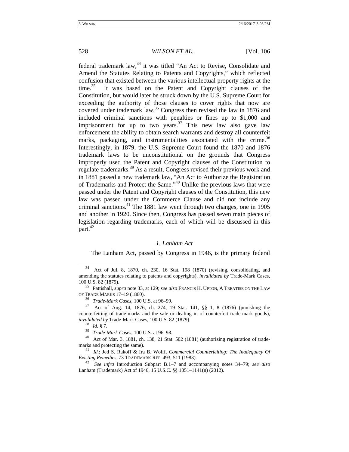federal trademark law,<sup>34</sup> it was titled "An Act to Revise, Consolidate and Amend the Statutes Relating to Patents and Copyrights," which reflected confusion that existed between the various intellectual property rights at the time.<sup>35</sup> It was based on the Patent and Copyright clauses of the Constitution, but would later be struck down by the U.S. Supreme Court for exceeding the authority of those clauses to cover rights that now are covered under trademark law.<sup>36</sup> Congress then revised the law in 1876 and included criminal sanctions with penalties or fines up to \$1,000 and imprisonment for up to two years.<sup>37</sup> This new law also gave law enforcement the ability to obtain search warrants and destroy all counterfeit marks, packaging, and instrumentalities associated with the crime.<sup>38</sup> Interestingly, in 1879, the U.S. Supreme Court found the 1870 and 1876 trademark laws to be unconstitutional on the grounds that Congress improperly used the Patent and Copyright clauses of the Constitution to regulate trademarks.39 As a result, Congress revised their previous work and in 1881 passed a new trademark law, "An Act to Authorize the Registration of Trademarks and Protect the Same."40 Unlike the previous laws that were passed under the Patent and Copyright clauses of the Constitution, this new law was passed under the Commerce Clause and did not include any criminal sanctions.41 The 1881 law went through two changes, one in 1905 and another in 1920. Since then, Congress has passed seven main pieces of legislation regarding trademarks, each of which will be discussed in this part.<sup>42</sup>

# *1. Lanham Act*

The Lanham Act, passed by Congress in 1946, is the primary federal

<sup>34</sup> Act of Jul. 8, 1870, ch. 230, 16 Stat. 198 (1870) (revising, consolidating, and amending the statutes relating to patents and copyrights), *invalidated by* Trade-Mark Cases*,*  100 U.S. 82 (1879). 35 Pattishall, *supra* note 33, at 129; *see also* FRANCIS H. UPTON, <sup>A</sup> TREATISE ON THE LAW

OF TRADE MARKS 17–19 (1860). 36 *Trade-Mark Cases*, 100 U.S. at 96–99. 37 Act of Aug. 14, 1876, ch. 274, 19 Stat. 141, §§ 1, 8 (1876) (punishing the counterfeiting of trade-marks and the sale or dealing in of counterfeit trade-mark goods), *invalidated by* Trade-Mark Cases, 100 U.S. 82 (1879). 38 *Id.* § 7.

<sup>&</sup>lt;sup>40</sup> Act of Mar. 3, 1881, ch. 138, 21 Stat. 502 (1881) (authorizing registration of trademarks and protecting the same).<br><sup>41</sup> *Id.*; Jed S. Rakoff & Ira B. Wolff, *Commercial Counterfeiting: The Inadequacy Of* 

*Existing Remedies*, 73 TRADEMARK REP. 493, 511 (1983). 42 *See infra* Introduction Subpart B.1–7 and accompanying notes 34–79; *see also*

Lanham (Trademark) Act of 1946, 15 U.S.C. §§ 1051–1141(n) (2012).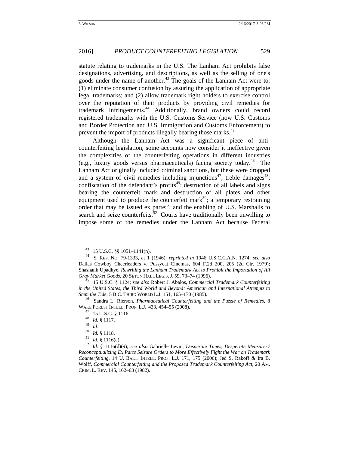statute relating to trademarks in the U.S. The Lanham Act prohibits false designations, advertising, and descriptions, as well as the selling of one's goods under the name of another.<sup>43</sup> The goals of the Lanham Act were to: (1) eliminate consumer confusion by assuring the application of appropriate legal trademarks; and (2) allow trademark right holders to exercise control over the reputation of their products by providing civil remedies for trademark infringements.44 Additionally, brand owners could record registered trademarks with the U.S. Customs Service (now U.S. Customs and Border Protection and U.S. Immigration and Customs Enforcement) to prevent the import of products illegally bearing those marks.<sup>45</sup>

 Although the Lanham Act was a significant piece of anticounterfeiting legislation, some accounts now consider it ineffective given the complexities of the counterfeiting operations in different industries (e.g., luxury goods versus pharmaceuticals) facing society today.<sup>46</sup> The Lanham Act originally included criminal sanctions, but these were dropped and a system of civil remedies including injunctions<sup>47</sup>; treble damages<sup>48</sup>; confiscation of the defendant's profits<sup>49</sup>; destruction of all labels and signs bearing the counterfeit mark and destruction of all plates and other equipment used to produce the counterfeit mark<sup>50</sup>; a temporary restraining order that may be issued ex parte;<sup>51</sup> and the enabling of U.S. Marshalls to search and seize counterfeits. $52$  Courts have traditionally been unwilling to impose some of the remedies under the Lanham Act because Federal

<sup>43 15</sup> U.S.C. §§ 1051–1141(n). 44 S. REP. NO. 79-1333, at 1 (1946), *reprinted in* 1946 U.S.C.C.A.N. 1274; *see also* Dallas Cowboy Cheerleaders v. Pussycat Cinemas, 604 F.2d 200, 205 (2d Cir. 1979); Shashank Upadhye, *Rewriting the Lanham Trademark Act to Prohibit the Importation of All Gray Market Goods*, 20 SETON HALL LEGIS. J. 59, 73–74 (1996). 45 15 U.S.C. § 1124; *see also* Robert J. Abalos, *Commercial Trademark Counterfeiting* 

*in the United States, the Third World and Beyond: American and International Attempts to Stem the Tide*, 5 B.C. THIRD WORLD L.J. 151, 165–170 (1985).<br><sup>46</sup> Sandra L. Rierson, *Pharmaceutical Counterfeiting and the Puzzle of Remedies*, 8

WAKE FOREST INTELL. PROP. L.J. 433, 454–55 (2008).<br><sup>47</sup> 15 U.S.C. § 1116.<br><sup>48</sup> *Id.* § 1117.<br><sup>49</sup> *Id.* 

 $\frac{49}{50}$  *Id.* 

<sup>50</sup> *Id.* § 1118. 51 *Id.* § 1116(a). 52 *Id.* § 1116(d)(9); *see also* Gabrielle Levin, *Desperate Times, Desperate Measures? Reconceptualizing Ex Parte Seizure Orders to More Effectively Fight the War on Trademark Counterfeiting*, 14 U. BALT. INTELL. PROP. L.J. 171, 175 (2006); Jed S. Rakoff & Ira B. Wolff, *Commercial Counterfeiting and the Proposed Trademark Counterfeiting Act*, 20 AM. CRIM. L. REV. 145, 162–63 (1982).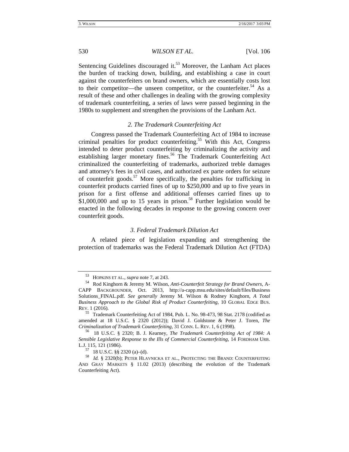Sentencing Guidelines discouraged it.<sup>53</sup> Moreover, the Lanham Act places the burden of tracking down, building, and establishing a case in court against the counterfeiters on brand owners, which are essentially costs lost to their competitor—the unseen competitor, or the counterfeiter.<sup>54</sup> As a result of these and other challenges in dealing with the growing complexity of trademark counterfeiting, a series of laws were passed beginning in the 1980s to supplement and strengthen the provisions of the Lanham Act.

# *2. The Trademark Counterfeiting Act*

Congress passed the Trademark Counterfeiting Act of 1984 to increase criminal penalties for product counterfeiting.<sup>55</sup> With this Act, Congress intended to deter product counterfeiting by criminalizing the activity and establishing larger monetary fines.<sup>56</sup> The Trademark Counterfeiting Act criminalized the counterfeiting of trademarks, authorized treble damages and attorney's fees in civil cases, and authorized ex parte orders for seizure of counterfeit goods.<sup>57</sup> More specifically, the penalties for trafficking in counterfeit products carried fines of up to \$250,000 and up to five years in prison for a first offense and additional offenses carried fines up to  $$1,000,000$  and up to 15 years in prison.<sup>58</sup> Further legislation would be enacted in the following decades in response to the growing concern over counterfeit goods.

#### *3. Federal Trademark Dilution Act*

A related piece of legislation expanding and strengthening the protection of trademarks was the Federal Trademark Dilution Act (FTDA)

<sup>53</sup> HOPKINS ET AL., *supra* note 7, at 243. 54 Rod Kinghorn & Jeremy M. Wilson, *Anti-Counterfeit Strategy for Brand Owners*, A-CAPP BACKGROUNDER, Oct. 2013, http://a-capp.msu.edu/sites/default/files/Business Solutions\_FINAL.pdf. *See generally* Jeremy M. Wilson & Rodney Kinghorn, *A Total Business Approach to the Global Risk of Product Counterfeiting,* 10 GLOBAL EDGE BUS. REV. 1 (2016).

<sup>55</sup> Trademark Counterfeiting Act of 1984, Pub. L. No. 98-473, 98 Stat. 2178 (codified as amended at 18 U.S.C. § 2320 (2012)); David J. Goldstone & Peter J. Toren, *The Criminalization of Trademark Counterfeiting,* 31 CONN. L. REV. 1, 6 (1998). 56 18 U.S.C. § 2320; B. J. Kearney, *The Trademark Counterfeiting Act of 1984: A* 

*Sensible Legislative Response to the Ills of Commercial Counterfeiting*, 14 FORDHAM URB. L.J. 115, 121 (1986). 57 18 U.S.C. §§ 2320 (a)–(d). 58 *Id.* § 2320(b); PETER HLAVNICKA ET AL., PROTECTING THE BRAND: COUNTERFEITING

AND GRAY MARKETS § 11.02 (2013) (describing the evolution of the Trademark Counterfeiting Act).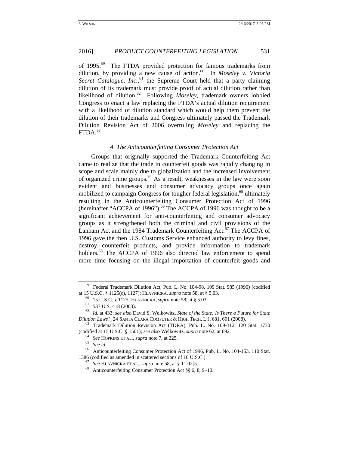of 1995.59 The FTDA provided protection for famous trademarks from dilution, by providing a new cause of action.60 In *Moseley v. Victoria*  Secret Catalogue, *Inc.*<sup>61</sup>, the Supreme Court held that a party claiming dilution of its trademark must provide proof of actual dilution rather than likelihood of dilution.62 Following *Moseley*, trademark owners lobbied Congress to enact a law replacing the FTDA's actual dilution requirement with a likelihood of dilution standard which would help them prevent the dilution of their trademarks and Congress ultimately passed the Trademark Dilution Revision Act of 2006 overruling *Moseley* and replacing the  $FTDA.<sup>63</sup>$ 

# *4. The Anticounterfeiting Consumer Protection Act*

Groups that originally supported the Trademark Counterfeiting Act came to realize that the trade in counterfeit goods was rapidly changing in scope and scale mainly due to globalization and the increased involvement of organized crime groups. $64$  As a result, weaknesses in the law were soon evident and businesses and consumer advocacy groups once again mobilized to campaign Congress for tougher federal legislation,<sup>65</sup> ultimately resulting in the Anticounterfeiting Consumer Protection Act of 1996 (hereinafter "ACCPA of 1996").<sup>66</sup> The ACCPA of 1996 was thought to be a significant achievement for anti-counterfeiting and consumer advocacy groups as it strengthened both the criminal and civil provisions of the Lanham Act and the 1984 Trademark Counterfeiting Act.<sup>67</sup> The ACCPA of 1996 gave the then U.S. Customs Service enhanced authority to levy fines, destroy counterfeit products, and provide information to trademark holders.<sup>68</sup> The ACCPA of 1996 also directed law enforcement to spend more time focusing on the illegal importation of counterfeit goods and

<sup>59</sup> Federal Trademark Dilution Act, Pub. L. No. 104-98, 109 Stat. 985 (1996) (codified at 15 U.S.C. § 1125(c), 1127); HLAVNICKA, *supra* note 58, at § 5.03. 60 15 U.S.C. § 1125; HLAVNICKA, *supra* note 58, at § 5.03. 61 537 U.S. 418 (2003).

<sup>62</sup> *Id.* at 433; *see also* David S. Welkowitz, *State of the State: Is There a Future for State Dilution Laws?*, 24 SANTA CLARA COMPUTER & HIGH TECH. L.J. 681, 691 (2008).<br><sup>63</sup> Trademark Dilution Revision Act (TDRA), Pub. L. No. 109-312, 120 Stat. 1730

<sup>(</sup>codified at 15 U.S.C. § 1501); *see also* Welkowitz, *supra* note 62, at 692.<br><sup>64</sup> *See* HOPKINS ET AL., *supra* note 7, at 225.<br><sup>65</sup> *See id.*<br><sup>66</sup> Anticounterfeiting Consumer Protection Act of 1996, Pub. L. No. 104-153 1386 (codified as amended in scattered sections of 18 U.S.C.). 67 *See* HLAVNICKA ET AL., *supra* note 58, at § 11.02[5]. 68 Anticounterfeiting Consumer Protection Act §§ 6, 8, 9–10.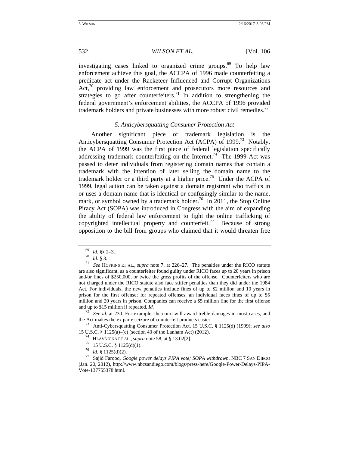investigating cases linked to organized crime groups. $69$  To help law enforcement achieve this goal, the ACCPA of 1996 made counterfeiting a predicate act under the Racketeer Influenced and Corrupt Organizations Act,<sup>70</sup> providing law enforcement and prosecutors more resources and strategies to go after counterfeiters.<sup>71</sup> In addition to strengthening the federal government's enforcement abilities, the ACCPA of 1996 provided trademark holders and private businesses with more robust civil remedies.<sup>72</sup>

### *5. Anticybersquatting Consumer Protection Act*

Another significant piece of trademark legislation is the Anticybersquatting Consumer Protection Act (ACPA) of 1999.<sup>73</sup> Notably, the ACPA of 1999 was the first piece of federal legislation specifically addressing trademark counterfeiting on the Internet.<sup>74</sup> The 1999 Act was passed to deter individuals from registering domain names that contain a trademark with the intention of later selling the domain name to the trademark holder or a third party at a higher price.<sup>75</sup> Under the ACPA of 1999, legal action can be taken against a domain registrant who traffics in or uses a domain name that is identical or confusingly similar to the name, mark, or symbol owned by a trademark holder.<sup>76</sup> In 2011, the Stop Online Piracy Act (SOPA) was introduced in Congress with the aim of expanding the ability of federal law enforcement to fight the online trafficking of copyrighted intellectual property and counterfeit.<sup>77</sup> Because of strong opposition to the bill from groups who claimed that it would threaten free

the Act makes the ex parte seizure of counterfeit products easier. 73 Anti-Cybersquatting Consumer Protection Act, 15 U.S.C. § 1125(d) (1999); *see also* 

15 U.S.C. § 1125(a)–(c) (section 43 of the Lanham Act) (2012).<br><sup>74</sup> HLAVNICKA ET AL., *supra* note 58, at § 13.02[2].<br><sup>75</sup> 15 U.S.C. § 1125(d)(1).<br><sup>76</sup> Id. § 1125(d)(2).<br><sup>76</sup> Id. § 1125(d)(2).<br><sup>77</sup> Sajid Farooq, *Google p* 

<sup>69</sup> *Id.* §§ 2–3. 70 *Id.* § 3. 71 *See* HOPKINS ET AL., *supra* note 7, at 226–27. The penalties under the RICO statute are also significant, as a counterfeiter found guilty under RICO faces up to 20 years in prison and/or fines of \$250,000, or twice the gross profits of the offense. Counterfeiters who are not charged under the RICO statute also face stiffer penalties than they did under the 1984 Act. For individuals, the new penalties include fines of up to \$2 million and 10 years in prison for the first offense; for repeated offenses, an individual faces fines of up to \$5 million and 20 years in prison. Companies can receive a \$5 million fine for the first offense and up to \$15 million if repeated. *Id.* <sup>72</sup> *See id*. at 230. For example, the court will award treble damages in most cases, and

<sup>(</sup>Jan. 20, 2012), http://www.nbcsandiego.com/blogs/press-here/Google-Power-Delays-PIPA-Vote-137755378.html.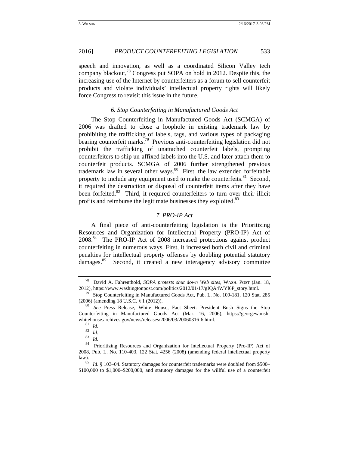# 2016] *PRODUCT COUNTERFEITING LEGISLATION* 533

speech and innovation, as well as a coordinated Silicon Valley tech company blackout, $^{78}$  Congress put SOPA on hold in 2012. Despite this, the increasing use of the Internet by counterfeiters as a forum to sell counterfeit products and violate individuals' intellectual property rights will likely force Congress to revisit this issue in the future.

#### *6. Stop Counterfeiting in Manufactured Goods Act*

The Stop Counterfeiting in Manufactured Goods Act (SCMGA) of 2006 was drafted to close a loophole in existing trademark law by prohibiting the trafficking of labels, tags, and various types of packaging bearing counterfeit marks.<sup>79</sup> Previous anti-counterfeiting legislation did not prohibit the trafficking of unattached counterfeit labels, prompting counterfeiters to ship un-affixed labels into the U.S. and later attach them to counterfeit products. SCMGA of 2006 further strengthened previous trademark law in several other ways. $80$  First, the law extended forfeitable property to include any equipment used to make the counterfeits.<sup>81</sup> Second, it required the destruction or disposal of counterfeit items after they have been forfeited.<sup>82</sup> Third, it required counterfeiters to turn over their illicit profits and reimburse the legitimate businesses they exploited.<sup>83</sup>

# *7. PRO-IP Act*

A final piece of anti-counterfeiting legislation is the Prioritizing Resources and Organization for Intellectual Property (PRO-IP) Act of 2008.84 The PRO-IP Act of 2008 increased protections against product counterfeiting in numerous ways. First, it increased both civil and criminal penalties for intellectual property offenses by doubling potential statutory damages.<sup>85</sup> Second, it created a new interagency advisory committee

<sup>78</sup> David A. Fahrenthold, *SOPA protests shut down Web sites,* WASH. POST (Jan. 18, 2012), https://www.washingtonpost.com/politics/2012/01/17/gIQA4WYl6P\_story.html.<br><sup>79</sup> Stop Counterfeiting in Manufactured Goods Act, Pub. L. No. 109-181, 120 Stat. 285

<sup>(2006) (</sup>amending 18 U.S.C. § 1 (2012)). 80 *See* Press Release, White House, Fact Sheet: President Bush Signs the Stop

Counterfeiting in Manufactured Goods Act (Mar. 16, 2006), https://georgewbushwhitehouse.archives.gov/news/releases/2006/03/20060316-6.html.<br><sup>81</sup> *Id.*<br><sup>83</sup> *Id.* 84 Prioritizing Resources and Organization for Intellectual Property (Pro-IP) Act of

<sup>2008,</sup> Pub. L. No. 110-403, 122 Stat. 4256 (2008) (amending federal intellectual property law). 85 *Id*. § 103–04. Statutory damages for counterfeit trademarks were doubled from \$500–

<sup>\$100,000</sup> to \$1,000–\$200,000, and statutory damages for the willful use of a counterfeit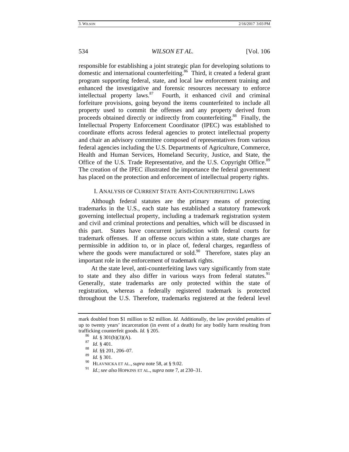responsible for establishing a joint strategic plan for developing solutions to domestic and international counterfeiting.<sup>86</sup> Third, it created a federal grant program supporting federal, state, and local law enforcement training and enhanced the investigative and forensic resources necessary to enforce intellectual property laws. $87$  Fourth, it enhanced civil and criminal forfeiture provisions, going beyond the items counterfeited to include all property used to commit the offenses and any property derived from proceeds obtained directly or indirectly from counterfeiting.<sup>88</sup> Finally, the Intellectual Property Enforcement Coordinator (IPEC) was established to coordinate efforts across federal agencies to protect intellectual property and chair an advisory committee composed of representatives from various federal agencies including the U.S. Departments of Agriculture, Commerce, Health and Human Services, Homeland Security, Justice, and State, the Office of the U.S. Trade Representative, and the U.S. Copyright Office.<sup>89</sup> The creation of the IPEC illustrated the importance the federal government has placed on the protection and enforcement of intellectual property rights.

# I. ANALYSIS OF CURRENT STATE ANTI-COUNTERFEITING LAWS

Although federal statutes are the primary means of protecting trademarks in the U.S., each state has established a statutory framework governing intellectual property, including a trademark registration system and civil and criminal protections and penalties, which will be discussed in this part. States have concurrent jurisdiction with federal courts for trademark offenses. If an offense occurs within a state, state charges are permissible in addition to, or in place of, federal charges, regardless of where the goods were manufactured or sold.<sup>90</sup> Therefore, states play an important role in the enforcement of trademark rights.

At the state level, anti-counterfeiting laws vary significantly from state to state and they also differ in various ways from federal statutes.<sup>91</sup> Generally, state trademarks are only protected within the state of registration, whereas a federally registered trademark is protected throughout the U.S. Therefore, trademarks registered at the federal level

mark doubled from \$1 million to \$2 million. *Id.* Additionally, the law provided penalties of up to twenty years' incarceration (in event of a death) for any bodily harm resulting from trafficking counterfeit goods. *Id.* § 205. 86 *Id*. § 301(b)(3)(A). 87 *Id*. § 401. 88 *Id*. §§ 201, 206–07.

<sup>89</sup> *Id.* § 301.

<sup>90</sup> HLAVNICKA ET AL., *supra* note 58, at § 9.02.

<sup>91</sup> *Id.*; *see also* HOPKINS ET AL., *supra* note 7, at 230–31.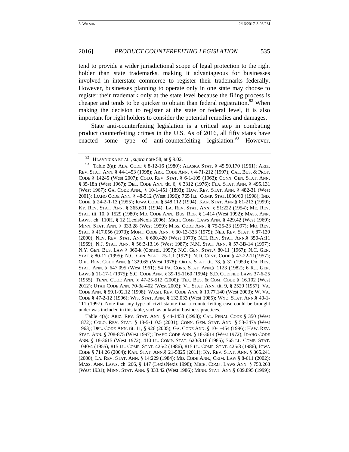tend to provide a wider jurisdictional scope of legal protection to the right holder than state trademarks, making it advantageous for businesses involved in interstate commerce to register their trademarks federally. However, businesses planning to operate only in one state may choose to register their trademark only at the state level because the filing process is cheaper and tends to be quicker to obtain than federal registration.<sup>92</sup> When making the decision to register at the state or federal level, it is also important for right holders to consider the potential remedies and damages.

State anti-counterfeiting legislation is a critical step in combating product counterfeiting crimes in the U.S. As of 2016, all fifty states have enacted some type of anti-counterfeiting legislation. $93$  However,

93 Table 2(a): ALA. CODE § 8-12-16 (1980); ALASKA STAT. § 45.50.170 (1961); ARIZ. REV. STAT. ANN. § 44-1453 (1998); ARK. CODE ANN. § 4-71-212 (1997); CAL. BUS. & PROF. CODE § 14245 (West 2007); COLO. REV. STAT. § 6-1-105 (1963); CONN. GEN. STAT. ANN. § 35-18h (West 1967); DEL. CODE ANN. tit. 6, § 3312 (1976); FLA. STAT. ANN. § 495.131 (West 1967); GA. CODE ANN., § 10-1-451 (1893); HAW. REV. STAT. ANN. § 482-31 (West 2001); IDAHO CODE ANN. § 48-512 (West 1996); 765 ILL. COMP. STAT.1036/60 (1998); IND. CODE. § 24-2-1-13 (1955); IOWA CODE § 548.112 (1994); KAN. STAT. ANN.§ 81-213 (1999); KY. REV. STAT. ANN. § 365.601 (1994); LA. REV. STAT. ANN. § 51:222 (1954); ME. REV. STAT. tit. 10, § 1529 (1980); MD. CODE ANN., BUS. REG. § 1-414 (West 1992); MASS. ANN. LAWS. ch. 110H, § 12 (LexisNexis 2006); MICH. COMP. LAWS ANN. § 429.42 (West 1969); MINN. STAT. ANN. § 333.28 (West 1959); MISS. CODE ANN. § 75-25-23 (1997); MO. REV. STAT. § 417.056 (1973); MONT. CODE ANN. § 30-13-333 (1979); NEB. REV. STAT. § 87-139 (2000); NEV. REV. STAT. ANN. § 600.420 (West 1979); N.H. REV. STAT. ANN.§ 350-A:11 (1969); N.J. STAT. ANN. § 56:3-13.16 (West 1987); N.M. STAT. ANN. § 57-3B-14 (1997); N.Y. GEN. BUS. LAW § 360-k (Consol. 1997); N.C. GEN. STAT.§ 80-11 (1967); N.C. GEN. STAT.§ 80-12 (1995); N.C. GEN. STAT 75-1.1 (1979); N.D. CENT. CODE § 47-22-11(1957); OHIO REV. CODE ANN. § 1329.65 (West 1978); OKLA. STAT. tit. 78, § 31 (1959); OR. REV. STAT. ANN. § 647.095 (West 1961); 54 PA. CONS. STAT. ANN.§ 1123 (1982); 6 R.I. GEN. LAWS § 11-17-1 (1975); S.C. CODE ANN. § 39-15-1160 (1994); S.D. CODIFIED LAWS 37-6-25 (1955); TENN. CODE ANN. § 47-25-512 (2000); TEX. BUS. & COM. CODE § 16.102 (West 2012); UTAH CODE ANN. 70-3a-402 (West 2002); VT. STAT. ANN. tit. 9, § 2529 (1957); VA. CODE ANN. § 59.1-92.12 (1998); WASH. REV. CODE ANN. § 19.77.140 (West 2003); W. VA. CODE § 47-2-12 (1996); WIS. STAT. ANN. § 132.033 (West 1985); WYO. STAT. ANN.§ 40-1- 111 (1997). Note that any type of civil statute that a counterfeiting case could be brought under was included in this table, such as unlawful business practices.

 Table 4(a): ARIZ. REV. STAT. ANN. § 44-1453 (1998); CAL. PENAL CODE § 350 (West 1872); COLO. REV. STAT. § 18-5-110.5 (2001); CONN. GEN. STAT. ANN. § 53-347a (West 1963); DEL. CODE ANN. tit. 11, § 926 (2005); GA. CODE ANN. § 10-1-454 (1996); HAW. REV. STAT. ANN. § 708-875 (West 1997); IDAHO CODE ANN. § 18-3614 (West 1972); IDAHO CODE ANN. § 18-3615 (West 1972); 410 LL. COMP. STAT. 620/3.16 (1985); 765 LL. COMP. STAT. 1040/4 (1955); 815 LL. COMP. STAT. 425/2 (1986); 815 LL. COMP. STAT. 425/3 (1986); IOWA CODE § 714.26 (2004); KAN. STAT. ANN.§ 21-5825 (2011); KY. REV. STAT. ANN. § 365.241 (2000); LA. REV. STAT. ANN. § 14:229 (1984); MD. CODE ANN., CRIM. LAW § 8-611 (2002); MASS. ANN. LAWS. ch. 266, § 147 (LexisNexis 1998); MICH. COMP. LAWS ANN. § 750.263 (West 1931); MINN. STAT. ANN. § 333.42 (West 1986); MINN. STAT. ANN.§ 609.895 (1999);

<sup>&</sup>lt;sup>92</sup> HLAVNICKA ET AL., *supra* note 58, at § 9.02.<br><sup>93</sup> Table 2(a): ALA, CODE 8, 8.12, 16. (1980):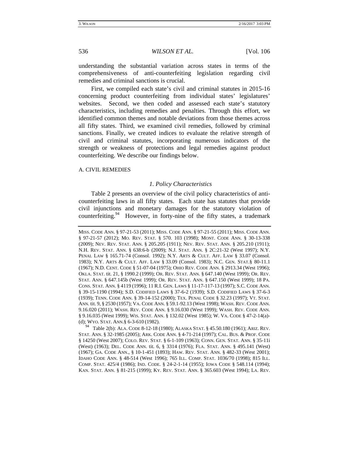understanding the substantial variation across states in terms of the comprehensiveness of anti-counterfeiting legislation regarding civil remedies and criminal sanctions is crucial.

First, we compiled each state's civil and criminal statutes in 2015-16 concerning product counterfeiting from individual states' legislatures' websites. Second, we then coded and assessed each state's statutory characteristics, including remedies and penalties. Through this effort, we identified common themes and notable deviations from those themes across all fifty states. Third, we examined civil remedies, followed by criminal sanctions. Finally, we created indices to evaluate the relative strength of civil and criminal statutes, incorporating numerous indicators of the strength or weakness of protections and legal remedies against product counterfeiting. We describe our findings below.

#### A. CIVIL REMEDIES

# *1. Policy Characteristics*

Table 2 presents an overview of the civil policy characteristics of anticounterfeiting laws in all fifty states. Each state has statutes that provide civil injunctions and monetary damages for the statutory violation of counterfeiting.<sup>94</sup> However, in forty-nine of the fifty states, a trademark

94 Table 2(b): ALA. CODE 8-12-18 (1980); ALASKA STAT. § 45.50.180 (1961); ARIZ. REV. STAT. ANN. § 32-1985 (2005); ARK. CODE ANN. § 4-71-214 (1997); CAL. BUS. & PROF. CODE § 14250 (West 2007); COLO. REV. STAT. § 6-1-109 (1963); CONN. GEN. STAT. ANN. § 35-11i (West) (1963); DEL. CODE ANN. tit. 6, § 3314 (1976); FLA. STAT. ANN. § 495.141 (West) (1967); GA. CODE ANN., § 10-1-451 (1893); HAW. REV. STAT. ANN. § 482-33 (West 2001); IDAHO CODE ANN. § 48-514 (West 1996); 765 ILL. COMP. STAT. 1036/70 (1998); 815 ILL. COMP. STAT. 425/4 (1986); IND. CODE. § 24-2-1-14 (1955); IOWA CODE § 548.114 (1994); KAN. STAT. ANN. § 81-215 (1999); KY. REV. STAT. ANN. § 365.603 (West 1994); LA. REV.

MISS. CODE ANN. § 97-21-53 (2011); MISS. CODE ANN. § 97-21-55 (2011); MISS. CODE ANN. § 97-21-57 (2012); MO. REV. STAT. § 570. 103 (1998); MONT. CODE ANN. § 30-13-338 (2009); NEV. REV. STAT. ANN. § 205.205 (1911); NEV. REV. STAT. ANN. § 205.210 (1911); N.H. REV. STAT. ANN. § 638:6-b (2009); N.J. STAT. ANN. § 2C:21-32 (West 1997); N.Y. PENAL LAW § 165.71-74 (Consol. 1992); N.Y. ARTS & CULT. AFF. LAW § 33.07 (Consol. 1983); N.Y. ARTS & CULT. AFF. LAW § 33.09 (Consol. 1983); N.C. GEN. STAT.§ 80-11.1 (1967); N.D. CENT. CODE § 51-07-04 (1975); OHIO REV. CODE ANN. § 2913.34 (West 1996); OKLA. STAT. tit. 21, § 1990.2 (1999); OR. REV. STAT. ANN. § 647.140 (West 1999); OR. REV. STAT. ANN. § 647.145b (West 1999); OR. REV. STAT. ANN. § 647.150 (West 1999); 18 PA. CONS. STAT. ANN. § 4119 (1996); 11 R.I. GEN. LAWS § 11-17-117-13 (1997); S.C. CODE ANN. § 39-15-1190 (1994); S.D. CODIFIED LAWS § 37-6-2 (1939); S.D. CODIFIED LAWS § 37-6-3 (1939); TENN. CODE ANN. § 39-14-152 (2000); TEX. PENAL CODE § 32.23 (1997); VT. STAT. ANN. tit. 9, § 2530 (1957); VA. CODE ANN. § 59.1-92.13 (West 1998); WASH. REV. CODE ANN. 9.16.020 (2011); WASH. REV. CODE ANN. § 9.16.030 (West 1999); WASH. REV. CODE ANN. § 9.16.035 (West 1999); WIS. STAT. ANN. § 132.02 (West 1985); W. VA. CODE § 47-2-14(a)- (d); WYO. STAT. ANN.§ 6-3-610 (1982).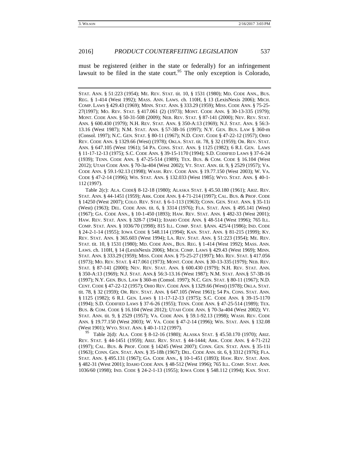must be registered (either in the state or federally) for an infringement lawsuit to be filed in the state court.<sup>95</sup> The only exception is Colorado,

STAT. ANN. § 51:223 (1954); ME. REV. STAT. tit. 10, § 1531 (1980); MD. CODE ANN., BUS. REG. § 1-414 (West 1992); MASS. ANN. LAWS. ch. 110H, § 13 (LexisNexis 2006); MICH. COMP. LAWS § 429.43 (1969); MINN. STAT. ANN. § 333.29 (1959); MISS. CODE ANN. § 75-25- 27(1997); MO. REV. STAT. § 417.061 (2) (1973); MONT. CODE ANN. § 30-13-335 (1979); MONT. CODE ANN. § 50-31-508 (2009); NEB. REV. STAT. § 87-141 (2000); NEV. REV. STAT. ANN. § 600.430 (1979); N.H. REV. STAT. ANN. § 350-A:13 (1969); N.J. STAT. ANN. § 56:3- 13.16 (West 1987); N.M. STAT. ANN. § 57-3B-16 (1997); N.Y. GEN. BUS. LAW § 360-m (Consol. 1997); N.C. GEN. STAT. § 80-11 (1967); N.D. CENT. CODE § 47-22-12 (1957); OHIO REV. CODE ANN. § 1329.66 (West) (1978); OKLA. STAT. tit. 78, § 32 (1959); OR. REV. STAT. ANN. § 647.105 (West 1961); 54 PA. CONS. STAT. ANN. § 1125 (1982); 6 R.I. GEN. LAWS § 11-17-12-13 (1975); S.C. CODE ANN. § 39-15-1170 (1994); S.D. CODIFIED LAWS § 37-6-24 (1939); TENN. CODE ANN. § 47-25-514 (1989); TEX. BUS. & COM. CODE § 16.104 (West 2012); UTAH CODE ANN. § 70-3a-404 (West 2002); VT. STAT. ANN. tit. 9, § 2529 (1957); VA. CODE ANN. § 59.1-92.13 (1998); WASH. REV. CODE ANN. § 19.77.150 (West 2003); W. VA. CODE § 47-2-14 (1996); WIS. STAT. ANN. § 132.033 (West 1985); WYO. STAT. ANN. § 40-1- 112 (1997).

 Table 2(c): ALA. CODE§ 8-12-18 (1980); ALASKA STAT. § 45.50.180 (1961); ARIZ. REV. STAT. ANN. § 44-1451 (1959); ARK. CODE ANN. § 4-71-214 (1997); CAL. BUS. & PROF. CODE § 14250 (West 2007); COLO. REV. STAT. § 6-1-113 (1963); CONN. GEN. STAT. ANN. § 35-11i (West) (1963); DEL. CODE ANN. tit. 6, § 3314 (1976); FLA. STAT. ANN. § 495.141 (West) (1967); GA. CODE ANN., § 10-1-450 (1893); HAW. REV. STAT. ANN. § 482-33 (West 2001); HAW. REV. STAT. ANN. § 328-7 (1941); IDAHO CODE ANN. § 48-514 (West 1996); 765 ILL. COMP. STAT. ANN. § 1036/70 (1998); 815 ILL. COMP. STAT. §ANN. 425/4 (1986); IND. CODE § 24-2-1-14 (1955); IOWA CODE § 548.114 (1994); KAN. STAT. ANN. § 81-215 (1999); KY. REV. STAT. ANN. § 365.603 (West 1994); LA. REV. STAT. ANN. § 51:223 (1954); ME. REV. STAT. tit. 10, § 1531 (1980); MD. CODE ANN., BUS. REG. § 1-414 (West 1992); MASS. ANN. LAWS. ch. 110H, § 14 (LexisNexis 2006); MICH. COMP. LAWS § 429.43 (West 1969); MINN. STAT. ANN. § 333.29 (1959); MISS. CODE ANN. § 75-25-27 (1997); MO. REV. STAT. § 417.056 (1973); MO. REV. STAT. § 417.061 (1973); MONT. CODE ANN. § 30-13-335 (1979); NEB. REV. STAT. § 87-141 (2000); NEV. REV. STAT. ANN. § 600.430 (1979); N.H. REV. STAT. ANN. § 350-A:13 (1969); N.J. STAT. ANN.§ 56:3-13.16 (West 1987); N.M. STAT. ANN.§ 57-3B-16 (1997); N.Y. GEN. BUS. LAW § 360-m (Consol. 1997); N.C. GEN. STAT. § 80-11 (1967); N.D. CENT. CODE § 47-22-12 (1957); OHIO REV. CODE ANN. § 1329.66 (West) (1978); OKLA. STAT. tit. 78, § 32 (1959); OR. REV. STAT. ANN. § 647.105 (West 1961); 54 PA. CONS. STAT. ANN. § 1125 (1982); 6 R.I. GEN. LAWS § 11-17-12-13 (1975); S.C. CODE ANN. § 39-15-1170 (1994); S.D. CODIFIED LAWS § 37-6-26 (1955); TENN. CODE ANN. § 47-25-514 (1989); TEX. BUS. & COM. CODE § 16.104 (West 2012); UTAH CODE ANN. § 70-3a-404 (West 2002); VT. STAT. ANN. tit. 9, § 2529 (1957); VA. CODE ANN. § 59.1-92.13 (1998); WASH. REV. CODE ANN. § 19.77.150 (West 2003); W. VA. CODE § 47-2-14 (1996); WIS. STAT. ANN. § 132.08 (West 1901); WYO. STAT. ANN. § 40-1-112 (1997).

<sup>95</sup> Table 2(d): ALA. CODE § 8-12-16 (1980); ALASKA STAT. § 45.50.170 (1970); ARIZ. REV. STAT. § 44-1451 (1959); ARIZ. REV. STAT. § 44-1444; ARK. CODE ANN. § 4-71-212 (1997); CAL. BUS. & PROF. CODE § 14245 (West 2007); CONN. GEN. STAT. ANN. § 35-11i (1963); CONN. GEN. STAT. ANN. § 35-18h (1967); DEL. CODE ANN. tit. 6, § 3312 (1976); FLA. STAT. ANN. § 495.131 (1967); GA. CODE ANN., § 10-1-451 (1893); HAW. REV. STAT. ANN. § 482-31 (West 2001); IDAHO CODE ANN. § 48-512 (West 1996); 765 ILL. COMP. STAT. ANN. 1036/60 (1998); IND. CODE § 24-2-1-13 (1955); IOWA CODE § 548.112 (1994); KAN. STAT.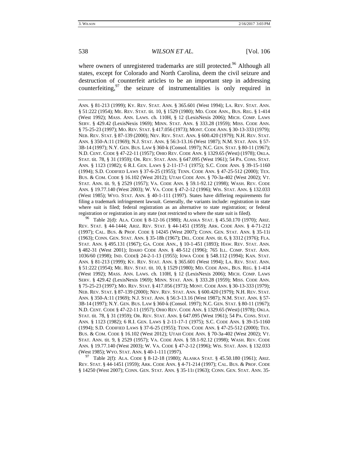where owners of unregistered trademarks are still protected.<sup>96</sup> Although all states, except for Colorado and North Carolina, deem the civil seizure and destruction of counterfeit articles to be an important step in addressing counterfeiting, $97$  the seizure of instrumentalities is only required in

ANN. § 81-213 (1999); KY. REV. STAT. ANN. § 365.601 (West 1994); LA. REV. STAT. ANN. § 51:222 (1954); ME. REV. STAT. tit. 10, § 1529 (1980); MD. CODE ANN., BUS. REG. § 1-414 (West 1992); MASS. ANN. LAWS. ch. 110H, § 12 (LexisNexis 2006); MICH. COMP. LAWS SERV. § 429.42 (LexisNexis 1969); MINN. STAT. ANN. § 333.28 (1959); MISS. CODE ANN. § 75-25-23 (1997); MO. REV. STAT. § 417.056 (1973); MONT. CODE ANN. § 30-13-333 (1979); NEB. REV. STAT. § 87-139 (2000); NEV. REV. STAT. ANN. § 600.420 (1979); N.H. REV. STAT. ANN. § 350-A:11 (1969); N.J. STAT. ANN. § 56:3-13.16 (West 1987); N.M. STAT. ANN. § 57- 3B-14 (1997); N.Y. GEN. BUS. LAW § 360-k (Consol. 1997); N.C. GEN. STAT. § 80-11 (1967); N.D. CENT. CODE § 47-22-11 (1957); OHIO REV. CODE ANN. § 1329.65 (West) (1978); OKLA. STAT. tit. 78, § 31 (1959); OR. REV. STAT. ANN. § 647.095 (West 1961); 54 PA. CONS. STAT. ANN. § 1123 (1982); 6 R.I. GEN. LAWS § 2-11-17-1 (1975); S.C. CODE ANN. § 39-15-1160 (1994); S.D. CODIFIED LAWS § 37-6-25 (1955); TENN. CODE ANN. § 47-25-512 (2000); TEX. BUS. & COM. CODE § 16.102 (West 2012); UTAH CODE ANN. § 70-3a-402 (West 2002); VT. STAT. ANN. tit. 9, § 2529 (1957); VA. CODE ANN. § 59.1-92.12 (1998); WASH. REV. CODE ANN. § 19.77.140 (West 2003); W. VA. CODE § 47-2-12 (1996); WIS. STAT. ANN. § 132.033 (West 1985); WYO. STAT. ANN. § 40-1-111 (1997). States have differing requirements for filing a trademark infringement lawsuit. Generally, the variants include: registration in state where suit is filed; federal registration as an alternative to state registration; or federal registration or registration in any state (not restricted to where the state suit is filed).<br><sup>96</sup> Table 2(d): ALA. CODE § 8-12-16 (1980); ALASKA STAT. § 45.50.170 (1970); ARIZ.

REV. STAT. § 44-1444; ARIZ. REV. STAT. § 44-1451 (1959); ARK. CODE ANN. § 4-71-212 (1997); CAL. BUS. & PROF. CODE § 14245 (West 2007); CONN. GEN. STAT. ANN. § 35-11i (1963); CONN. GEN. STAT. ANN. § 35-18h (1967); DEL. CODE ANN. tit. 6, § 3312 (1976); FLA. STAT. ANN. § 495.131 (1967); GA. CODE ANN., § 10-1-451 (1893); HAW. REV. STAT. ANN. § 482-31 (West 2001); IDAHO CODE ANN. § 48-512 (1996); 765 ILL. COMP. STAT. ANN. 1036/60 (1998); IND. CODE§ 24-2-1-13 (1955); IOWA CODE § 548.112 (1994); KAN. STAT. ANN. § 81-213 (1999); KY. REV. STAT. ANN. § 365.601 (West 1994); LA. REV. STAT. ANN. § 51:222 (1954); ME. REV. STAT. tit. 10, § 1529 (1980); MD. CODE ANN., BUS. REG. § 1-414 (West 1992); MASS. ANN. LAWS. ch. 110H, § 12 (LexisNexis 2006); MICH. COMP. LAWS SERV. § 429.42 (LexisNexis 1969); MINN. STAT. ANN. § 333.28 (1959); MISS. CODE ANN. § 75-25-23 (1997); MO. REV. STAT. § 417.056 (1973); MONT. CODE ANN. § 30-13-333 (1979); NEB. REV. STAT. § 87-139 (2000); NEV. REV. STAT. ANN. § 600.420 (1979); N.H. REV. STAT. ANN. § 350-A:11 (1969); N.J. STAT. ANN. § 56:3-13.16 (West 1987); N.M. STAT. ANN. § 57- 3B-14 (1997); N.Y. GEN. BUS. LAW § 360-k (Consol. 1997); N.C. GEN. STAT. § 80-11 (1967); N.D. CENT. CODE § 47-22-11 (1957); OHIO REV. CODE ANN. § 1329.65 (West) (1978); OKLA. STAT. tit. 78, § 31 (1959); OR. REV. STAT. ANN. § 647.095 (West 1961); 54 PA. CONS. STAT. ANN. § 1123 (1982); 6 R.I. GEN. LAWS § 2-11-17-1 (1975); S.C. CODE ANN. § 39-15-1160 (1994); S.D. CODIFIED LAWS § 37-6-25 (1955); TENN. CODE ANN. § 47-25-512 (2000); TEX. BUS. & COM. CODE § 16.102 (West 2012); UTAH CODE ANN. § 70-3a-402 (West 2002); VT. STAT. ANN. tit. 9, § 2529 (1957); VA. CODE ANN. § 59.1-92.12 (1998); WASH. REV. CODE ANN. § 19.77.140 (West 2003); W. VA. CODE § 47-2-12 (1996); WIS. STAT. ANN. § 132.033 (West 1985); Wyo. Stat. Ann. § 40-1-111 (1997).<br><sup>97</sup> Table 2(f): Ala. Code § 8-12-18 (1980); Alaska Stat. § 45.50.180 (1961); Ariz.

REV. STAT. § 44-1451 (1959); ARK. CODE ANN. § 4-71-214 (1997); CAL. BUS. & PROF. CODE § 14250 (West 2007); CONN. GEN. STAT. ANN. § 35-11I (1963); CONN. GEN. STAT. ANN. 35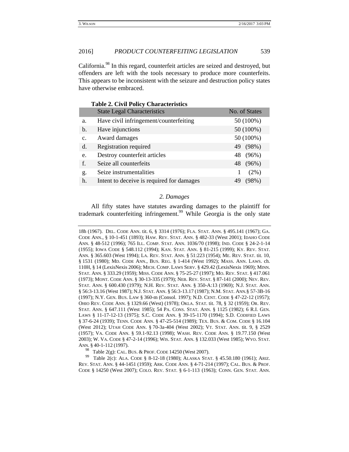California.98 In this regard, counterfeit articles are seized and destroyed, but offenders are left with the tools necessary to produce more counterfeits. This appears to be inconsistent with the seizure and destruction policy states have otherwise embraced.

|               | <b>State Legal Characteristics</b>        | No. of States |
|---------------|-------------------------------------------|---------------|
| a.            | Have civil infringement/counterfeiting    | 50 (100%)     |
| b.            | Have injunctions                          | 50 (100%)     |
| $C_{\bullet}$ | Award damages                             | 50 (100%)     |
| d.            | <b>Registration required</b>              | 49 (98%)      |
| e.            | Destroy counterfeit articles              | 48 (96%)      |
| f.            | Seize all counterfeits                    | 48 (96%)      |
| g.            | Seize instrumentalities                   | $(2\%)$       |
| h.            | Intent to deceive is required for damages | (98%)<br>49   |

# **Table 2. Civil Policy Characteristics**

#### *2. Damages*

All fifty states have statutes awarding damages to the plaintiff for trademark counterfeiting infringement.<sup>99</sup> While Georgia is the only state

18h (1967). DEL. CODE ANN. tit. 6, § 3314 (1976); FLA. STAT. ANN. § 495.141 (1967); GA. CODE ANN., § 10-1-451 (1893); HAW. REV. STAT. ANN. § 482-33 (West 2001); IDAHO CODE ANN. § 48-512 (1996); 765 ILL. COMP. STAT. ANN. 1036/70 (1998); IND. CODE § 24-2-1-14 (1955); IOWA CODE § 548.112 (1994); KAN. STAT. ANN. § 81-215 (1999); KY. REV. STAT. ANN. § 365.603 (West 1994); LA. REV. STAT. ANN. § 51:223 (1954); ME. REV. STAT. tit. 10, § 1531 (1980); MD. CODE ANN., BUS. REG. § 1-414 (West 1992); MASS. ANN. LAWS. ch. 110H, § 14 (LexisNexis 2006); MICH. COMP. LAWS SERV. § 429.42 (LexisNexis 1969); MINN. STAT. ANN. § 333.29 (1959); MISS. CODE ANN. § 75-25-27 (1997); MO. REV. STAT. § 417.061 (1973); MONT. CODE ANN. § 30-13-335 (1979); NEB. REV. STAT. § 87-141 (2000); NEV. REV. STAT. ANN. § 600.430 (1979); N.H. REV. STAT. ANN. § 350-A:13 (1969); N.J. STAT. ANN. § 56:3-13.16 (West 1987); N.J. STAT. ANN. § 56:3-13.17 (1987); N.M. STAT. ANN.§ 57-3B-16 (1997); N.Y. GEN. BUS. LAW § 360-m (Consol. 1997); N.D. CENT. CODE § 47-22-12 (1957); OHIO REV. CODE ANN. § 1329.66 (West) (1978); OKLA. STAT. tit. 78, § 32 (1959); OR. REV. STAT. ANN. § 647.111 (West 1985); 54 PA. CONS. STAT. ANN. § 1125 (1982); 6 R.I. GEN. LAWS § 11-17-12-13 (1975); S.C. CODE ANN. § 39-15-1170 (1994); S.D. CODIFIED LAWS § 37-6-24 (1939); TENN. CODE ANN. § 47-25-514 (1989); TEX. BUS. & COM. CODE § 16.104 (West 2012); UTAH CODE ANN. § 70-3a-404 (West 2002); VT. STAT. ANN. tit. 9, § 2529 (1957); VA. CODE ANN. § 59.1-92.13 (1998); WASH. REV. CODE ANN. § 19.77.150 (West 2003); W. VA. CODE § 47-2-14 (1996); WIS. STAT. ANN. § 132.033 (West 1985); WYO. STAT. ANN. § 40-1-112 (1997).<br><sup>98</sup> Table 2(g): CAL. BUS. & PROF. CODE 14250 (West 2007).

<sup>99</sup> Table 2(c): ALA. CODE § 8-12-18 (1980); ALASKA STAT. § 45.50.180 (1961); ARIZ. REV. STAT. ANN. § 44-1451 (1959); ARK. CODE ANN. § 4-71-214 (1997); CAL. BUS. & PROF. CODE § 14250 (West 2007); COLO. REV. STAT. § 6-1-113 (1963); CONN. GEN. STAT. ANN.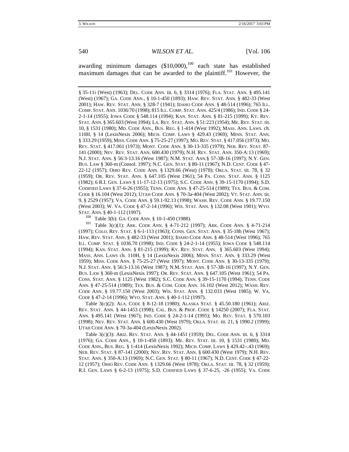awarding minimum damages  $(\$10,000)$ ,<sup>100</sup> each state has established maximum damages that can be awarded to the plaintiff.<sup>101</sup> However, the

§ 35-11i (West) (1963); DEL. CODE ANN. tit. 6, § 3314 (1976); FLA. STAT. ANN. § 495.141 (West) (1967); GA. CODE ANN., § 10-1-450 (1893); HAW. REV. STAT. ANN. § 482-33 (West 2001); HAW. REV. STAT. ANN. § 328-7 (1941); IDAHO CODE ANN. § 48-514 (1996); 765 ILL. COMP. STAT. ANN. 1036/70 (1998); 815 ILL. COMP. STAT. ANN. 425/4 (1986); IND. CODE § 24- 2-1-14 (1955); IOWA CODE § 548.114 (1994); KAN. STAT. ANN. § 81-215 (1999); KY. REV. STAT. ANN. § 365.603 (West 1994); LA. REV. STAT. ANN. § 51:223 (1954); ME. REV. STAT. tit. 10, § 1531 (1980); MD. CODE ANN., BUS. REG. § 1-414 (West 1992); MASS. ANN. LAWS. ch. 110H, § 14 (LexisNexis 2006); MICH. COMP. LAWS § 429.43 (1969); MINN. STAT. ANN. § 333.29 (1959); MISS. CODE ANN. § 75-25-27 (1997); MO. REV. STAT. § 417.056 (1973); MO. REV. STAT. § 417.061 (1973); MONT. CODE ANN. § 30-13-335 (1979); NEB. REV. STAT. 87- 141 (2000); NEV. REV. STAT. ANN. 600.430 (1979); N.H. REV. STAT. ANN. 350-A:13 (1969); N.J. STAT. ANN. § 56:3-13.16 (West 1987); N.M. STAT. ANN.§ 57-3B-16 (1997); N.Y. GEN. BUS. LAW § 360-m (Consol. 1997); N.C. GEN. STAT. § 80-11 (1967); N.D. CENT. CODE § 47- 22-12 (1957); OHIO REV. CODE ANN. § 1329.66 (West) (1978); OKLA. STAT. tit. 78, § 32 (1959); OR. REV. STAT. ANN. § 647.105 (West 1961); 54 PA. CONS. STAT. ANN. § 1125 (1982); 6 R.I. GEN. LAWS § 11-17-12-13 (1975); S.C. CODE ANN. § 39-15-1170 (1994); S.D. CODIFIED LAWS § 37-6-26 (1955); TENN. CODE ANN. § 47-25-514 (1989); TEX. BUS. & COM. CODE § 16.104 (West 2012); UTAH CODE ANN. § 70-3a-404 (West 2002); VT. STAT. ANN. tit. 9, § 2529 (1957); VA. CODE ANN. § 59.1-92.13 (1998); WASH. REV. CODE ANN. § 19.77.150 (West 2003); W. VA. CODE § 47-2-14 (1996); WIS. STAT. ANN. § 132.08 (West 1901); WYO. STAT. ANN. § 40-1-112 (1997).<br><sup>100</sup> Table 3(b): GA. CODE ANN. § 10-1-450 (1988).<br><sup>101</sup> Table 3(c)(1): ARK. CODE ANN. § 4-71-212 (1997); ARK. CODE ANN. § 4-71-214

(1997); COLO. REV. STAT. § 6-1-113 (1963); CONN. GEN. STAT. ANN. § 35-18h (West 1967); HAW. REV. STAT. ANN. § 482-33 (West 2001); IDAHO CODE ANN. § 48-514 (West 1996); 765 ILL. COMP. STAT. § 1036.70 (1998); IND. CODE § 24-2-1-14 (1955); IOWA CODE § 548.114 (1994); KAN. STAT. ANN. § 81-215 (1999); KY. REV. STAT. ANN. § 365.603 (West 1994); MASS. ANN. LAWS ch. 110H, § 14 (LexisNexis 2006); MINN. STAT. ANN. § 333.29 (West 1959); MISS. CODE ANN. § 75-25-27 (West 1997); MONT. CODE ANN. § 30-13-335 (1979); N.J. STAT. ANN. § 56:3-13.16 (West 1987); N.M. STAT. ANN. § 57-3B-16 (1997); N.Y. GEN. BUS. LAW § 360-m (LexisNexis 1997); OR. REV. STAT. ANN. § 647.105 (West 1961); 54 PA. CONS. STAT. ANN. § 1125 (West 1982); S.C. CODE ANN. § 39-15-1170 (1994); TENN. CODE ANN. § 47-25-514 (1989); TEX. BUS. & COM. CODE ANN. 16.102 (West 2012); WASH. REV. CODE ANN. § 19.77.150 (West 2003); WIS. STAT. ANN. § 132.033 (West 1985); W. VA. CODE § 47-2-14 (1996); WYO. STAT. ANN. § 40-1-112 (1997).

 Table 3(c)(2): ALA. CODE § 8-12-18 (1980); ALASKA STAT. § 45.50.180 (1961); ARIZ. REV. STAT. ANN. § 44-1453 (1998); CAL. BUS. & PROF. CODE § 14250 (2007); FLA. STAT. ANN. § 495.141 (West 1967); IND. CODE § 24-2-1-14 (1995); MO. REV. STAT. § 570.103 (1998); NEV. REV. STAT. ANN. § 600.430 (West 1979); OKLA. STAT. tit. 21, § 1990.2 (1999); UTAH CODE ANN. § 70-3a-404 (LexisNexis 2002).

 Table 3(c)(3): ARIZ. REV. STAT. ANN. § 44-1451 (1959); DEL. CODE ANN. tit. 6, § 3314 (1976); GA. CODE ANN., § 10-1-450 (1893); ME. REV. STAT. tit. 10, § 1531 (1980); MD. CODE ANN., BUS. REG. § 1-414 (LexisNexis 1992); MICH. COMP. LAWS § 429.42–.43 (1969); NEB. REV. STAT. § 87-141 (2000); NEV. REV. STAT. ANN. § 600.430 (West 1979); N.H. REV. STAT. ANN. § 350-A:13 (1969); N.C. GEN. STAT. § 80-11 (1967); N.D. CENT. CODE § 47-22- 12 (1957); OHIO REV. CODE ANN. § 1329.66 (West 1978); OKLA. STAT. tit. 78, § 32 (1959); R.I. GEN. LAWS § 6-2-13 (1975); S.D. CODIFIED LAWS § 37-6-25, -26 (1955); VA. CODE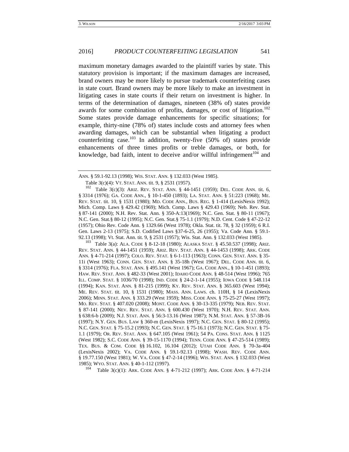maximum monetary damages awarded to the plaintiff varies by state. This statutory provision is important; if the maximum damages are increased, brand owners may be more likely to pursue trademark counterfeiting cases in state court. Brand owners may be more likely to make an investment in litigating cases in state courts if their return on investment is higher. In terms of the determination of damages, nineteen (38% of) states provide awards for some combination of profits, damages, or cost of litigation.<sup>102</sup> Some states provide damage enhancements for specific situations; for example, thirty-nine (78% of) states include costs and attorney fees when awarding damages, which can be substantial when litigating a product counterfeiting case.<sup>103</sup> In addition, twenty-five  $(50\% \text{ of})$  states provide enhancements of three times profits or treble damages, or both, for knowledge, bad faith, intent to deceive and/or willful infringement<sup>104</sup> and

Table 3(c)(4): VT. STAT. ANN. tit. 9, § 2531 (1957).<br><sup>102</sup> Table 3(c)(3): ARIZ. REV. STAT. ANN. § 44-1451 (1959); DEL. CODE ANN. tit. 6, § 3314 (1976); GA. CODE ANN., § 10-1-450 (1893); LA. STAT. ANN. § 51:223 (1968); ME. REV. STAT. tit. 10, § 1531 (1980); MD. CODE ANN., BUS. REG. § 1-414 (LexisNexis 1992); Mich. Comp. Laws § 429.42 (1969); Mich. Comp. Laws § 429.43 (1969); Neb. Rev. Stat. § 87-141 (2000); N.H. Rev. Stat. Ann. § 350-A:13(1969); N.C. Gen. Stat. § 80-11 (1967); N.C. Gen. Stat.§ 80-12 (1995); N.C. Gen. Stat.§ 75-1.1 (1979); N.D. Cent. Code § 47-22-12 (1957); Ohio Rev. Code Ann. § 1329.66 (West 1978); Okla. Stat. tit. 78, § 32 (1959); 6 R.I. Gen. Laws 2-13 (1975); S.D. Codified Laws §37-6-25, 26 (1955); Va. Code Ann. § 59.1- 92.13 (1998); Vt. Stat. Ann. tit. 9, § 2531 (1957); Wis. Stat. Ann. § 132.033 (West 1985).<br><sup>103</sup> Table 3(a): ALA. CODE § 8-12-18 (1980); ALASKA STAT. § 45.50.537 (1998); ARIZ.

REV. STAT. ANN. § 44-1451 (1959); ARIZ. REV. STAT. ANN. § 44-1453 (1998); ARK. CODE ANN. § 4-71-214 (1997); COLO. REV. STAT. § 6-1-113 (1963); CONN. GEN. STAT. ANN. § 35- 11i (West 1963); CONN. GEN. STAT. ANN. § 35-18h (West 1967); DEL. CODE ANN. tit. 6, § 3314 (1976); FLA. STAT. ANN. § 495.141 (West 1967); GA. CODE ANN., § 10-1-451 (1893); HAW. REV. STAT. ANN. § 482-33 (West 2001); IDAHO CODE ANN. § 48-514 (West 1996); 765 ILL. COMP. STAT. § 1036/70 (1998); IND. CODE § 24-2-1-14 (1955); IOWA CODE § 548.114 (1994); KAN. STAT. ANN. § 81-215 (1999); KY. REV. STAT. ANN. § 365.603 (West 1994); ME. REV. STAT. tit. 10, § 1531 (1980); MASS. ANN. LAWS. ch. 110H, § 14 (LexisNexis 2006); MINN. STAT. ANN. § 333.29 (West 1959); MISS. CODE ANN. § 75-25-27 (West 1997); MO. REV. STAT. § 407.020 (2008); MONT. CODE ANN. § 30-13-335 (1979); NEB. REV. STAT. § 87-141 (2000); NEV. REV. STAT. ANN. § 600.430 (West 1970); N.H. REV. STAT. ANN. § 638:6-b (2009); N.J. STAT. ANN. § 56:3-13.16 (West 1987); N.M. STAT. ANN. § 57-3B-16 (1997); N.Y. GEN. BUS. LAW § 360-m (LexisNexis 1997); N.C. GEN. STAT. § 80-12 (1995); N.C. GEN. STAT. § 75-15.2 (1993); N.C. GEN. STAT. § 75-16.1 (1973); N.C. GEN. STAT. § 75- 1.1 (1979); OR. REV. STAT. ANN. § 647.105 (West 1961); 54 PA. CONS. STAT. ANN. § 1125 (West 1982); S.C. CODE ANN. § 39-15-1170 (1994); TENN. CODE ANN. § 47-25-514 (1989); TEX. BUS. & COM. CODE §§ 16.102, 16.104 (2012); UTAH CODE ANN. § 70-3a-404 (LexisNexis 2002); VA. CODE ANN. § 59.1-92.13 (1998); WASH. REV. CODE ANN. § 19.77.150 (West 1981); W. VA. CODE § 47-2-14 (1996); WIS. STAT. ANN. § 132.033 (West 1985); WYO. STAT. ANN. § 40-1-112 (1997).<br><sup>104</sup> Table 3(c)(1): ARK. CODE ANN. § 4-71-212 (1997); ARK. CODE ANN. § 4-71-214

ANN. § 59.1-92.13 (1998); WIS. STAT. ANN. § 132.033 (West 1985).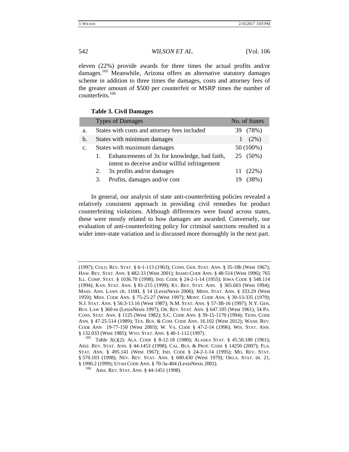eleven (22%) provide awards for three times the actual profits and/or damages.<sup>105</sup> Meanwhile, Arizona offers an alternative statutory damages scheme in addition to three times the damages, costs and attorney fees of the greater amount of \$500 per counterfeit or MSRP times the number of counterfeits. $106$ 

# **Table 3. Civil Damages**

|               |                             | <b>Types of Damages</b>                                                                       |     | No. of States |
|---------------|-----------------------------|-----------------------------------------------------------------------------------------------|-----|---------------|
| a.            |                             | States with costs and attorney fees included                                                  | 39. | (78%)         |
| $\mathbf b$ . |                             | States with minimum damages                                                                   |     | $(2\%)$       |
| $C_{\bullet}$ | States with maximum damages |                                                                                               |     | 50 (100%)     |
|               | 1.                          | Enhancements of 3x for knowledge, bad faith,<br>intent to deceive and/or willful infringement |     | 25 (50%)      |
|               | 2.                          | 3x profits and/or damages                                                                     |     | 11(22%)       |
|               | 3.                          | Profits, damages and/or cost                                                                  |     | (38%)         |

In general, our analysis of state anti-counterfeiting policies revealed a relatively consistent approach in providing civil remedies for product counterfeiting violations. Although differences were found across states, these were mostly related to how damages are awarded. Conversely, our evaluation of anti-counterfeiting policy for criminal sanctions resulted in a wider inter-state variation and is discussed more thoroughly in the next part.

<sup>(1997);</sup> COLO. REV. STAT. § 6-1-113 (1963); CONN. GEN. STAT. ANN. § 35-18h (West 1967); HAW. REV. STAT. ANN. § 482-33 (West 2001); IDAHO CODE ANN. § 48-514 (West 1996); 765 ILL. COMP. STAT. § 1036.70 (1998); IND. CODE § 24-2-1-14 (1955); IOWA CODE § 548.114 (1994); KAN. STAT. ANN. § 81-215 (1999); KY. REV. STAT. ANN. § 365.603 (West 1994); MASS. ANN. LAWS ch. 110H, § 14 (LexisNexis 2006); MINN. STAT. ANN. § 333.29 (West 1959); MISS. CODE ANN. § 75-25-27 (West 1997); MONT. CODE ANN. § 30-13-335 (1979); N.J. STAT. ANN. § 56:3-13.16 (West 1987); N.M. STAT. ANN. § 57-3B-16 (1997); N.Y. GEN. BUS. LAW § 360-m (LexisNexis 1997); OR. REV. STAT. ANN. § 647.105 (West 1961); 54 PA. CONS. STAT. ANN. § 1125 (West 1982); S.C. CODE ANN. § 39-15-1170 (1994); TENN. CODE ANN. § 47-25-514 (1989); TEX. BUS. & COM. CODE ANN. 16.102 (West 2012); WASH. REV. CODE ANN 19-77-150 (West 2003); W. VA. CODE § 47-2-14 (1996); WIS. STAT. ANN.

<sup>§ 132.033 (</sup>West 1985); WYO. STAT. ANN. § 40-1-112 (1997). 105 Table 3(c)(2): ALA. CODE § 8-12-18 (1980); ALASKA STAT. § 45.50.180 (1961); ARIZ. REV. STAT. ANN. § 44-1453 (1998); CAL. BUS. & PROF. CODE § 14250 (2007); FLA. STAT. ANN. § 495.141 (West 1967); IND. CODE § 24-2-1-14 (1995); MO. REV. STAT. § 570.103 (1998); NEV. REV. STAT. ANN. § 600.430 (West 1979); OKLA. STAT. tit. 21, § 1990.2 (1999); UTAH CODE ANN. § 70-3a-404 (LexisNexis 2002).<br><sup>106</sup> ARIZ. REV. STAT. ANN. § 44-1451 (1998).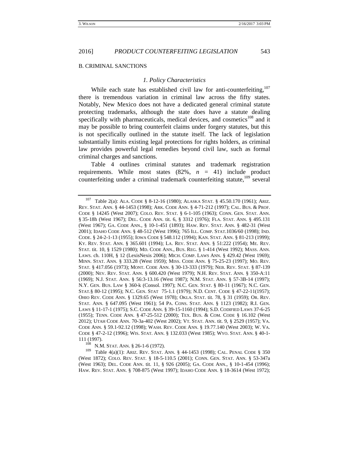#### B. CRIMINAL SANCTIONS

#### *1. Policy Characteristics*

While each state has established civil law for anti-counterfeiting, $107$ there is tremendous variation in criminal law across the fifty states. Notably, New Mexico does not have a dedicated general criminal statute protecting trademarks, although the state does have a statute dealing specifically with pharmaceuticals, medical devices, and cosmetics<sup>108</sup> and it may be possible to bring counterfeit claims under forgery statutes, but this is not specifically outlined in the statute itself. The lack of legislation substantially limits existing legal protections for rights holders, as criminal law provides powerful legal remedies beyond civil law, such as formal criminal charges and sanctions.

Table 4 outlines criminal statutes and trademark registration requirements. While most states  $(82\%, n = 41)$  include product counterfeiting under a criminal trademark counterfeiting statute, $109$  several

<sup>109</sup> Table 4(a)(1): Ariz. Rev. Stat. Ann. § 44-1453 (1998); Cal. Penal Code § 350 (West 1872); COLO. REV. STAT. § 18-5-110.5 (2001); CONN. GEN. STAT. ANN. § 53-347a (West 1963); DEL. CODE ANN. tit. 11, § 926 (2005); GA. CODE ANN., § 10-1-454 (1996); HAW. REV. STAT. ANN. § 708-875 (West 1997); IDAHO CODE ANN. § 18-3614 (West 1972);

<sup>107</sup> Table 2(a): ALA. CODE § 8-12-16 (1980); ALASKA STAT. § 45.50.170 (1961); ARIZ. REV. STAT. ANN. § 44-1453 (1998); ARK. CODE ANN. § 4-71-212 (1997); CAL. BUS. & PROF. CODE § 14245 (West 2007); COLO. REV. STAT. § 6-1-105 (1963); CONN. GEN. STAT. ANN. § 35-18h (West 1967); DEL. CODE ANN. tit. 6, § 3312 (1976); FLA. STAT. ANN. § 495.131 (West 1967); GA. CODE ANN., § 10-1-451 (1893); HAW. REV. STAT. ANN. § 482-31 (West 2001); IDAHO CODE ANN. § 48-512 (West 1996); 765 ILL. COMP. STAT.1036/60 (1998); IND. CODE. § 24-2-1-13 (1955); IOWA CODE § 548.112 (1994); KAN. STAT. ANN. § 81-213 (1999); KY. REV. STAT. ANN. § 365.601 (1994); LA. REV. STAT. ANN. § 51:222 (1954); ME. REV. STAT. tit. 10, § 1529 (1980); MD. CODE ANN., BUS. REG. § 1-414 (West 1992); MASS. ANN. LAWS. ch. 110H, § 12 (LexisNexis 2006); MICH. COMP. LAWS ANN. § 429.42 (West 1969); MINN. STAT. ANN. § 333.28 (West 1959); MISS. CODE ANN. § 75-25-23 (1997); MO. REV. STAT. § 417.056 (1973); MONT. CODE ANN. § 30-13-333 (1979); NEB. REV. STAT. § 87-139 (2000); NEV. REV. STAT. ANN. § 600.420 (West 1979); N.H. REV. STAT. ANN. § 350-A:11 (1969); N.J. STAT. ANN. § 56:3-13.16 (West 1987); N.M. STAT. ANN. § 57-3B-14 (1997); N.Y. GEN. BUS. LAW § 360-k (Consol. 1997); N.C. GEN. STAT. § 80-11 (1967); N.C. GEN. STAT.§ 80-12 (1995); N.C. GEN. STAT 75-1.1 (1979); N.D. CENT. CODE § 47-22-11(1957); OHIO REV. CODE ANN. § 1329.65 (West 1978); OKLA. STAT. tit. 78, § 31 (1959); OR. REV. STAT. ANN. § 647.095 (West 1961); 54 PA. CONS. STAT. ANN. § 1123 (1982); R.I. GEN. LAWS § 11-17-1 (1975); S.C. CODE ANN. § 39-15-1160 (1994); S.D. CODIFIED LAWS 37-6-25 (1955); TENN. CODE ANN. § 47-25-512 (2000); TEX. BUS. & COM. CODE § 16.102 (West 2012); UTAH CODE ANN. 70-3a-402 (West 2002); VT. STAT. ANN. tit. 9, § 2529 (1957); VA. CODE ANN. § 59.1-92.12 (1998); WASH. REV. CODE ANN. § 19.77.140 (West 2003); W. VA. CODE § 47-2-12 (1996); WIS. STAT. ANN. § 132.033 (West 1985); WYO. STAT. ANN. § 40-1- 111 (1997).<br><sup>108</sup> N.M. Stat. Ann. § 26-1-6 (1972).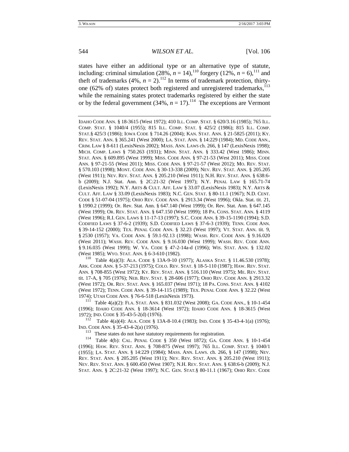states have either an additional type or an alternative type of statute, including: criminal simulation (28%,  $n = 14$ ), <sup>110</sup> forgery (12%,  $n = 6$ ), <sup>111</sup> and theft of trademarks (4%,  $n = 2$ ).<sup>112</sup> In terms of trademark protection, thirtyone (62% of) states protect both registered and unregistered trademarks,<sup>113</sup> while the remaining states protect trademarks registered by either the state or by the federal government (34%,  $n = 17$ ).<sup>114</sup> The exceptions are Vermont

IDAHO CODE ANN. § 18-3615 (West 1972); 410 ILL. COMP. STAT. § 620/3.16 (1985); 765 ILL. COMP. STAT. § 1040/4 (1955); 815 ILL. COMP. STAT. § 425/2 (1986); 815 ILL. COMP. STAT.§ 425/3 (1986); IOWA CODE § 714.26 (2004); KAN. STAT. ANN. § 21-5825 (2011); KY. REV. STAT. ANN. § 365.241 (West 2000); LA. STAT. ANN. § 14:229 (1984); MD. CODE ANN., CRIM. LAW § 8-611 (LexisNexis 2002); MASS. ANN. LAWS ch. 266, § 147 (LexisNexis 1998); MICH. COMP. LAWS § 750.263 (1931); MINN. STAT. ANN. § 333.42 (West 1986); MINN. STAT. ANN. § 609.895 (West 1999); MISS. CODE ANN. § 97-21-53 (West 2011); MISS. CODE ANN. § 97-21-55 (West 2011); MISS. CODE ANN. § 97-21-57 (West 2012); MO. REV. STAT. § 570.103 (1998); MONT. CODE ANN. § 30-13-338 (2009); NEV. REV. STAT. ANN. § 205.205 (West 1911); NEV. REV. STAT. ANN. § 205.210 (West 1911); N.H. REV. STAT. ANN. § 638:6 b (2009); N.J. Stat. Ann. § 2C:21-32 (West 1997); N.Y. PENAL LAW § 165.71-74 (LexisNexis 1992); N.Y. ARTS & CULT. AFF. LAW § 33.07 (LexisNexis 1983); N.Y. ARTS & CULT. AFF. LAW § 33.09 (LexisNexis 1983); N.C. GEN. STAT. § 80-11.1 (1967); N.D. CENT. CODE § 51-07-04 (1975); OHIO REV. CODE ANN. § 2913.34 (West 1996); Okla. Stat. tit. 21, § 1990.2 (1999); Or. Rev. Stat. Ann. § 647.140 (West 1999); Or. Rev. Stat. Ann. § 647.145 (West 1999); OR. REV. STAT. ANN. § 647.150 (West 1999); 18 PA. CONS. STAT. ANN. § 4119 (West 1996); R.I. GEN. LAWS § 11-17-13 (1997); S.C. CODE ANN. § 39-15-1190 (1994); S.D. CODIFIED LAWS § 37-6-2 (1939); S.D. CODIFIED LAWS § 37-6-3 (1939); TENN. CODE ANN. § 39-14-152 (2000); TEX. PENAL CODE ANN. § 32.23 (West 1997); VT. STAT. ANN. tit. 9, § 2530 (1957); VA. CODE ANN. § 59.1-92.13 (1998); WASH. REV. CODE ANN. § 9.16.020 (West 2011); WASH. REV. CODE ANN. § 9.16.030 (West 1999); WASH. REV. CODE ANN. § 9.16.035 (West 1999); W. VA. CODE § 47-2-14a-d (1996); WIS. STAT. ANN. § 132.02 (West 1985); WYO. STAT. ANN. § 6-3-610 (1982).<br><sup>110</sup> Table 4(a)(3): ALA. CODE § 13A-9-10 (1977); ALASKA STAT. § 11.46.530 (1978);

ARK. CODE ANN. § 5-37-213 (1975); COLO. REV. STAT. § 18-5-110 (1987); HAW. REV. STAT. ANN. § 708-855 (West 1972); KY. REV. STAT. ANN. § 516.110 (West 1975); ME. REV. STAT. tit. 17-A, § 705 (1976); NEB. REV. STAT. § 28-606 (1977); OHIO REV. CODE ANN. § 2913.32 (West 1972); OR. REV. STAT. ANN. § 165.037 (West 1971); 18 PA. CONS. STAT. ANN. § 4102 (West 1972); TENN. CODE ANN. § 39-14-115 (1989); TEX. PENAL CODE ANN. § 32.22 (West 1974); UTAH CODE ANN. § 76-6-518 (LexisNexis 1973). 111 Table 4(a)(2): FLA. STAT. ANN. § 831.032 (West 2008); GA. CODE ANN., § 10-1-454

(1996); IDAHO CODE ANN. § 18-3614 (West 1972); IDAHO CODE ANN. § 18-3615 (West 1972); IND. CODE § 35-43-5-2(d) (1976).<br><sup>112</sup> Table 4(a)(4): ALA. CODE § 13A-8-10.4 (1983); IND. CODE § 35-43-4-1(a) (1976);

IND. CODE ANN. § 35-43-4-2(a) (1976).<br><sup>113</sup> These states do not have statutory requirements for registration.<br><sup>114</sup> Table 4(b): CAL. PENAL CODE § 350 (West 1872); GA. CODE ANN. § 10-1-454 (1996); HAW. REV. STAT. ANN. § 708-875 (West 1997); 765 ILL. COMP. STAT. § 1040/1 (1955); LA. STAT. ANN. § 14:229 (1984); MASS. ANN. LAWS. ch. 266, § 147 (1998); NEV. REV. STAT. ANN. § 205.205 (West 1911); NEV. REV. STAT. ANN. § 205.210 (West 1911); NEV. REV. STAT. ANN. § 600.450 (West 1907); N.H. REV. STAT. ANN. § 638:6-b (2009); N.J. STAT. ANN. § 2C:21-32 (West 1997); N.C. GEN. STAT.§ 80-11.1 (1967); OHIO REV. CODE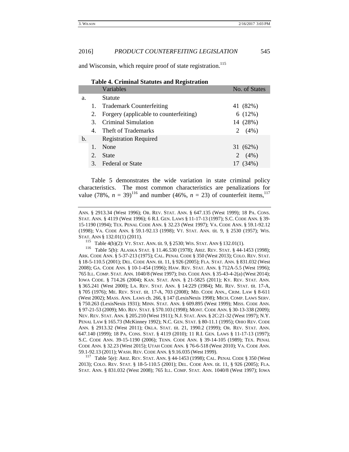and Wisconsin, which require proof of state registration.<sup>115</sup>

|    | Table 4. Criminal Blatutes and Registration |                                        |               |  |  |
|----|---------------------------------------------|----------------------------------------|---------------|--|--|
|    |                                             | Variables                              | No. of States |  |  |
| a. |                                             | <b>Statute</b>                         |               |  |  |
|    |                                             | 1. Trademark Counterfeiting            | 41 (82%)      |  |  |
|    | 2.                                          | Forgery (applicable to counterfeiting) | 6(12%)        |  |  |
|    |                                             | 3. Criminal Simulation                 | 14 (28%)      |  |  |
|    | 4.                                          | Theft of Trademarks                    | 2 $(4%)$      |  |  |
| b. |                                             | <b>Registration Required</b>           |               |  |  |
|    |                                             | None                                   | 31 (62%)      |  |  |
|    | 2.                                          | <b>State</b>                           | 2 $(4\%)$     |  |  |
|    | 3.                                          | <b>Federal or State</b>                | 17 (34%)      |  |  |

**Table 4. Criminal Statutes and Registration**

Table 5 demonstrates the wide variation in state criminal policy characteristics. The most common characteristics are penalizations for value (78%,  $n = 39$ )<sup>116</sup> and number (46%,  $n = 23$ ) of counterfeit items,<sup>117</sup>

ANN. § 2913.34 (West 1996); OR. REV. STAT. ANN. § 647.135 (West 1999); 18 PA. CONS. STAT. ANN. § 4119 (West 1996); 6 R.I. GEN. LAWS § 11-17-13 (1997); S.C. CODE ANN. § 39- 15-1190 (1994); TEX. PENAL CODE ANN. § 32.23 (West 1997); VA. CODE ANN. § 59.1-92.12 (1998); VA. CODE ANN. § 59.1-92.13 (1998); VT. STAT. ANN. tit. 9, § 2530 (1957); WIS.

59.1-92.13 (2011); WASH. REV. CODE ANN. § 9.16.035 (West 1999). 117 Table 5(e): ARIZ. REV. STAT. ANN. § 44-1453 (1998); CAL. PENAL CODE § <sup>350</sup> (West 2013); COLO. REV. STAT. § 18-5-110.5 (2001); DEL. CODE ANN. tit. 11, § 926 (2005); FLA. STAT. ANN. § 831.032 (West 2008); 765 ILL. COMP. STAT. ANN. 1040/8 (West 1997); IOWA

STAT. ANN § 132.01(1) (2011).<br><sup>115</sup> Table 4(b)(2): VT. STAT. ANN. tit. 9, § 2530; WIS. STAT. ANN § 132.01(1).<br><sup>116</sup> Table 5(b): ALASKA STAT. § 11.46.530 (1978); ARIZ. REV. STAT. § 44-1453 (1998); ARK. CODE ANN. § 5-37-213 (1975); CAL. PENAL CODE § 350 (West 2013); COLO. REV. STAT. § 18-5-110.5 (2001); DEL. CODE ANN. tit. 11, § 926 (2005); FLA. STAT. ANN. § 831.032 (West 2008); GA. CODE ANN. § 10-1-454 (1996); HAW. REV. STAT. ANN. § 712A-5.5 (West 1996); 765 ILL. COMP. STAT. ANN. 1040/8 (West 1997); IND. CODE ANN. § 35-43-4-2(a) (West 2014); IOWA CODE. § 714.26 (2004); KAN. STAT. ANN. § 21-5825 (2011); KY. REV. STAT. ANN. § 365.241 (West 2000); LA. REV. STAT. ANN. § 14:229 (1984); ME. REV. STAT. tit. 17-A, § 705 (1976); ME. REV. STAT. tit. 17-A, 703 (2008); MD. CODE ANN., CRIM. LAW § 8-611 (West 2002); MASS. ANN. LAWS ch. 266, § 147 (LexisNexis 1998); MICH. COMP. LAWS SERV. § 750.263 (LexisNexis 1931); MINN. STAT. ANN. § 609.895 (West 1999); MISS. CODE ANN. § 97-21-53 (2009); MO. REV. STAT. § 570.103 (1998); MONT. CODE ANN. § 30-13-338 (2009); NEV. REV. STAT. ANN. § 205.210 (West 1911); N.J. STAT. ANN. § 2C:21-32 (West 1997); N.Y. PENAL LAW § 165.73 (McKinney 1992); N.C. GEN. STAT. § 80-11.1 (1995); OHIO REV. CODE ANN. § 2913.32 (West 2011); OKLA. STAT. tit. 21, 1990.2 (1999); OR. REV. STAT. ANN. 647.140 (1999); 18 PA. CONS. STAT. § 4119 (2010); 11 R.I. GEN. LAWS § 11-17-13 (1997); S.C. CODE ANN. 39-15-1190 (2006); TENN. CODE ANN. § 39-14-105 (1989); TEX. PENAL CODE ANN. § 32.23 (West 2015); UTAH CODE ANN. § 76-6-518 (West 2010); VA. CODE ANN.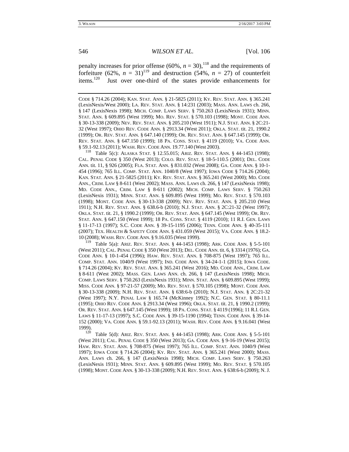penalty increases for prior offense (60%,  $n = 30$ ),<sup>118</sup> and the requirements of forfeiture (62%,  $n = 31$ )<sup>119</sup> and destruction (54%,  $n = 27$ ) of counterfeit items.<sup>120</sup> Just over one-third of the states provide enhancements for Just over one-third of the states provide enhancements for

CODE § 714.26 (2004); KAN. STAT. ANN. § 21-5825 (2011); KY. REV. STAT. ANN. § 365.241 (LexisNexis/West 2000); LA. REV. STAT. ANN. § 14:231 (2003); MASS. ANN. LAWS ch. 266, § 147 (LexisNexis 1998); MICH. COMP. LAWS SERV. § 750.263 (LexisNexis 1931); MINN. STAT. ANN. § 609.895 (West 1999); MO. REV. STAT. § 570.103 (1998); MONT. CODE ANN. § 30-13-338 (2009); NEV. REV. STAT. ANN. § 205.210 (West 1911); N.J. STAT. ANN. § 2C:21- 32 (West 1997); OHIO REV. CODE ANN. § 2913.34 (West 2011); OKLA. STAT. tit. 21, 1990.2 (1999); OR. REV. STAT. ANN. § 647.140 (1999); OR. REV. STAT. ANN. § 647.145 (1999); OR. REV. STAT. ANN. § 647.150 (1999); 18 PA. CONS. STAT. § 4119 (2010); VA. CODE ANN. § 59.1-92.13 (2011); WASH. REV. CODE ANN. 19.77.140 (West 2003). 118 Table 5(c): ALASKA STAT. § 12.55.015; ARIZ. REV. STAT. ANN. § 44-1453 (1998);

CAL. PENAL CODE § 350 (West 2013); COLO. REV. STAT. § 18-5-110.5 (2001); DEL. CODE ANN. tit. 11, § 926 (2005); FLA. STAT. ANN. § 831.032 (West 2008); GA. CODE ANN. § 10-1- 454 (1996); 765 ILL. COMP. STAT. ANN. 1040/8 (West 1997); IOWA CODE § 714.26 (2004); KAN. STAT. ANN. § 21-5825 (2011); KY. REV. STAT. ANN. § 365.241 (West 2000); MD. CODE ANN., CRIM. LAW § 8-611 (West 2002); MASS. ANN. LAWS ch. 266, § 147 (LexisNexis 1998); MD. CODE ANN., CRIM. LAW § 8-611 (2002); MICH. COMP. LAWS SERV. § 750.263 (LexisNexis 1931); MINN. STAT. ANN. § 609.895 (West 1999); MO. REV. STAT. § 570.103 (1998); MONT. CODE ANN. § 30-13-338 (2009); NEV. REV. STAT. ANN. § 205.210 (West 1911); N.H. REV. STAT. ANN. § 638.6-b (2010); N.J. STAT. ANN. § 2C:21-32 (West 1997); OKLA. STAT. tit. 21, § 1990.2 (1999); OR. REV. STAT. ANN. § 647.145 (West 1999); OR. REV. STAT. ANN. § 647.150 (West 1999); 18 PA. CONS. STAT. § 4119 (2010); 11 R.I. GEN. LAWS § 11-17-13 (1997); S.C. CODE ANN. § 39-15-1195 (2006); TENN. CODE ANN. § 40-35-111 (2007); TEX. HEALTH & SAFETY CODE ANN. § 431.059 (West 2015); VA. CODE ANN. § 18.2- 10 (2008); WASH. REV. CODE ANN. § 9.16.035 (West 1999).

<sup>119</sup> Table 5(a): ARIZ. REV. STAT. ANN. § 44-1453 (1998); ARK. CODE ANN. § 5-5-101 (West 2011); CAL. PENAL CODE § 350 (West 2013); DEL. CODE ANN. tit. 6, § 3314 (1976); GA. CODE ANN. § 10-1-454 (1996); HAW. REV. STAT. ANN. § 708-875 (West 1997); 765 ILL. COMP. STAT. ANN. 1040/9 (West 1997); IND. CODE ANN. § 34-24-1-1 (2015); IOWA CODE. § 714.26 (2004); KY. REV. STAT. ANN. § 365.241 (West 2016); MD. CODE ANN., CRIM. LAW § 8-611 (West 2002); MASS. GEN. LAWS ANN. ch. 266, § 147 (LexisNexis 1998); MICH. COMP. LAWS SERV. § 750.263 (LexisNexis 1931); MINN. STAT. ANN. § 609.895 (West 1999); MISS. CODE ANN. § 97-21-57 (2009); MO. REV. STAT. § 570.105 (1998); MONT. CODE ANN. § 30-13-338 (2009); N.H. REV. STAT. ANN. § 638:6-b (2010); N.J. STAT. ANN. § 2C:21-32 (West 1997); N.Y. PENAL LAW § 165.74 (McKinney 1992); N.C. GEN. STAT. § 80-11.1 (1995); OHIO REV. CODE ANN. § 2913.34 (West 1996); OKLA. STAT. tit. 21, § 1990.2 (1999); OR. REV. STAT. ANN. § 647.145 (West 1999); 18 PA. CONS. STAT. § 4119 (1996); 11 R.I. GEN. LAWS § 11-17-13 (1997); S.C. CODE ANN. § 39-15-1190 (1994); TENN. CODE ANN. § 39-14- 152 (2000); VA. CODE ANN. § 59.1-92.13 (2011); WASH. REV. CODE ANN. § 9.16.041 (West 1999).<br><sup>120</sup> Table 5(d): Ariz. Rev. Stat. Ann. § 44-1453 (1998); Ark. CODE Ann. § 5-5-101

(West 2011); CAL. PENAL CODE § 350 (West 2013); GA. CODE ANN. § 9-16-19 (West 2015); HAW. REV. STAT. ANN. § 708-875 (West 1997); 765 ILL. COMP. STAT. ANN. 1040/9 (West 1997); IOWA CODE § 714.26 (2004); KY. REV. STAT. ANN. § 365.241 (West 2000); MASS. ANN. LAWS ch. 266, § 147 (LexisNexis 1998); MICH. COMP. LAWS SERV. § 750.263 (LexisNexis 1931); MINN. STAT. ANN. § 609.895 (West 1999); MO. REV. STAT. § 570.105 (1998); MONT. CODE ANN. § 30-13-338 (2009); N.H. REV. STAT. ANN. § 638:6-b (2009); N. J.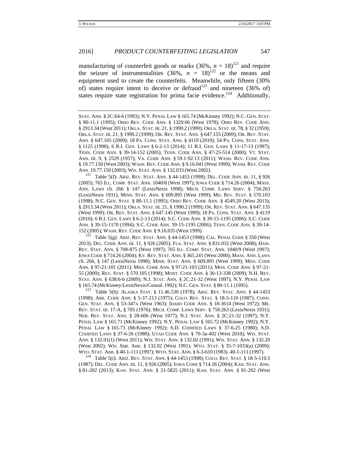manufacturing of counterfeit goods or marks  $(36\%, n = 18)^{121}$  and require the seizure of instrumentalities (36%,  $n = 18$ )<sup>122</sup> or the means and equipment used to create the counterfeits. Meanwhile, only fifteen (30% of) states require intent to deceive or defraud<sup>123</sup> and nineteen (36% of) states require state registration for prima facie evidence.<sup>124</sup> Additionally,

STAT. ANN. § 2C:64-6 (1993); N.Y. PENAL LAW § 165.74 (McKinney 1992); N.C. GEN. STAT. § 80-11.1 (1995); OHIO REV. CODE ANN. § 1329.66 (West 1978); OHIO REV. CODE ANN. § 2913.34 (West 2011); OKLA. STAT. tit. 21, § 1990.2 (1999); OKLA. STAT. tit. 78, § 32 (1959); OKLA. STAT. tit. 21, § 1990.2 (1999); OR. REV. STAT. ANN. § 647.155 (2009); OR. REV. STAT. ANN. § 647.105 (2009); 18 PA. CONS. STAT. ANN. § 4119 (2010); 54 PA. CONS. STAT. ANN. § 1125 (1998); 6 R.I. GEN. LAWS § 6-2-13 (2014); 11 R.I. GEN. LAWS § 11-17-13 (1997); TENN. CODE ANN. § 39-14-152 (2005); TENN. CODE ANN. § 47-25-514 (2000); VT. STAT. ANN. tit. 9, § 2529 (1957); VA. CODE ANN. § 59.1-92.13 (2011); WASH. REV. CODE ANN. § 19.77.150 (West 2003); WASH. REV. CODE ANN. § 9.16.041 (West 1999); WASH. REV. CODE ANN. 19.77.150 (2003); WIS. STAT. ANN. § 132.033 (West 2002).<br><sup>121</sup> Table 5(f): ARIZ. REV. STAT. ANN. § 44-1453 (1998); DEL. CODE ANN. tit. 11, § 926

(2005); 765 ILL. COMP. STAT. ANN. 1040/8 (West 1997); IOWA CODE § 714.26 (2004); MASS. ANN. LAWS ch. 266 § 147 (LexisNexis 1998); MICH. COMP. LAWS SERV. § 750.263 (LexisNexis 1931); MINN. STAT. ANN. § 609.895 (West 1999); MO. REV. STAT. § 570.103 (1998); N.C. GEN. STAT. § 80-11.1 (1995); OHIO REV. CODE ANN. § 4549.20 (West 2013); § 2913.34 (West 2011); OKLA. STAT. tit. 21, § 1990.2 (1999); OR. REV. STAT. ANN. § 647.135 (West 1999); OR. REV. STAT. ANN. § 647.145 (West 1999); 18 PA. CONS. STAT. ANN. § 4119 (2010); 6 R.I. GEN. LAWS § 6-2-13 (2014); S.C. CODE ANN. § 39-15-1195 (2006); S.C. CODE ANN. § 39-15-1170 (1994); S.C. CODE ANN. 39-15-1195 (2006); TENN. CODE ANN. § 39-14- 152 (2005); WASH. REV. CODE ANN. § 9.16.035 (West 1999).<br><sup>122</sup> Table 5(g): ARIZ. REV. STAT. ANN. § 44-1453 (1998); CAL. PENAL CODE § 350 (West

2013); DEL. CODE ANN. tit. 11, § 926 (2005); FLA. STAT. ANN. § 831.032 (West 2008); HAW. REV. STAT. ANN. § 708-875 (West 1997); 765 ILL. COMP. STAT. ANN. 1040/9 (West 1997); IOWA CODE § 714.26 (2004); KY. REV. STAT. ANN. § 365.241 (West 2000); MASS. ANN. LAWS ch. 266, § 147 (LexisNexis 1998); MINN. STAT. ANN. § 609.895 (West 1999); MISS. CODE ANN. § 97-21-101 (2011); MISS. CODE ANN. § 97-21-103 (2011); MISS. CODE ANN. § 97-21- 55 (2009); REV. STAT. § 570.105 (1998); MONT. CODE ANN. § 30-13-338 (2009); N.H. REV. STAT. ANN. § 638:6-b (2009); N.J. STAT. ANN. § 2C:21-32 (West 1997); N.Y. PENAL LAW § 165.74 (McKinney/LexisNexis/Consol. 1992); N.C. GEN. STAT. § 80-11.1 (1995). 123 Table 5(h): ALASKA STAT. § 11.46.530 (1978); ARIZ. REV. STAT. ANN. § 44-1453

(1998); ARK. CODE ANN. § 5-37-213 (1975); COLO. REV. STAT. § 18-5-110 (1987); CONN. GEN. STAT. ANN. § 53-347A (West 1963); IDAHO CODE ANN. § 18-3614 (West 1972); ME. REV. STAT. tit. 17-A, § 705 (1976); MICH. COMP. LAWS SERV. § 750.263 (LexisNexis 1931); NEB. REV. STAT. ANN. § 28-606 (West 1977); N.J. STAT. ANN. § 2C:21-32 (1997); N.Y. PENAL LAW § 165.71 (McKinney 1992); N.Y. PENAL LAW § 165.72 (McKinney 1992); N.Y. PENAL LAW § 165.73 (McKinney 1992); S.D. CODIFIED LAWS § 37-6-25 (1980); S.D. CODIFIED LAWS § 37-6-26 (1980); UTAH CODE ANN. § 70-3a-402 (West 2010); WIS. STAT. ANN. § 132.01(1) (West 2011); WIS. STAT. ANN. § 132.02 (1991); WIS. STAT. ANN. § 132.20 (West 2002); WIS. Stat. Ann. § 132.02 (West 1991); WYO. STAT. § 35-7-1033(a) (2009);

WYO. STAT. Ann. § 40-1-111 (1997); WYO. STAT. ANN. § 6-3-610 (1983). 40-1-111 (1997).<br><sup>124</sup> Table 5(i): ARIZ. REV. STAT. ANN. § 44-1453 (1998); COLO. REV. STAT. § 18-5-110.5 (1987); DEL. CODE ANN. tit. 11, § 926 (2005); IOWA CODE § 714.26 (2004); KAN. STAT. ANN. § 81-202 (2013); KAN. STAT. ANN. § 21-5825 (2011); KAN. STAT. ANN. § 81-202 (West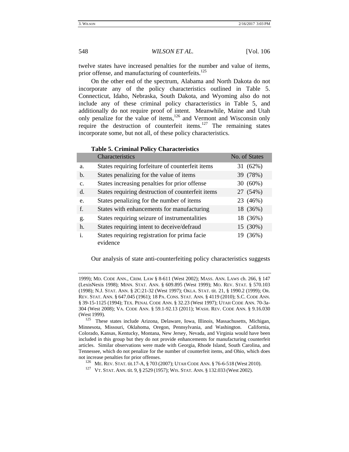twelve states have increased penalties for the number and value of items, prior offense, and manufacturing of counterfeits.<sup>125</sup>

On the other end of the spectrum, Alabama and North Dakota do not incorporate any of the policy characteristics outlined in Table 5. Connecticut, Idaho, Nebraska, South Dakota, and Wyoming also do not include any of these criminal policy characteristics in Table 5, and additionally do not require proof of intent. Meanwhile, Maine and Utah only penalize for the value of items,<sup>126</sup> and Vermont and Wisconsin only require the destruction of counterfeit items.<sup>127</sup> The remaining states incorporate some, but not all, of these policy characteristics.

|                | Characteristics                                           | No. of States |
|----------------|-----------------------------------------------------------|---------------|
| a.             | States requiring forfeiture of counterfeit items          | 31 (62%)      |
| $\mathbf{b}$ . | States penalizing for the value of items                  | 39 (78%)      |
| $\mathbf{C}$ . | States increasing penalties for prior offense             | 30 (60%)      |
| $d$ .          | States requiring destruction of counterfeit items         | 27 (54%)      |
| e.             | States penalizing for the number of items                 | 23 (46%)      |
| f.             | States with enhancements for manufacturing                | 18 (36%)      |
| g.             | States requiring seizure of instrumentalities             | 18 (36%)      |
| h.             | States requiring intent to deceive/defraud                | 15 (30%)      |
| $\mathbf{i}$ . | States requiring registration for prima facie<br>evidence | 19 (36%)      |

## **Table 5. Criminal Policy Characteristics**

Our analysis of state anti-counterfeiting policy characteristics suggests

<sup>1999);</sup> MD. CODE ANN., CRIM. LAW § 8-611 (West 2002); MASS. ANN. LAWS ch. 266, § 147 (LexisNexis 1998); MINN. STAT. ANN. § 609.895 (West 1999); MO. REV. STAT. § 570.103 (1998); N.J. STAT. ANN. § 2C:21-32 (West 1997); OKLA. STAT. tit. 21, § 1990.2 (1999); OR. REV. STAT. ANN. § 647.045 (1961); 18 PA. CONS. STAT. ANN. § 4119 (2010); S.C. CODE ANN. § 39-15-1125 (1994); TEX. PENAL CODE ANN. § 32.23 (West 1997); UTAH CODE ANN. 70-3a-304 (West 2008); VA. CODE ANN. § 59.1-92.13 (2011); WASH. REV. CODE ANN. § 9.16.030 (West 1999). 125 These states include Arizona, Delaware, Iowa, Illinois, Massachusetts, Michigan,

Minnesota, Missouri, Oklahoma, Oregon, Pennsylvania, and Washington. California, Colorado, Kansas, Kentucky, Montana, New Jersey, Nevada, and Virginia would have been included in this group but they do not provide enhancements for manufacturing counterfeit articles. Similar observations were made with Georgia, Rhode Island, South Carolina, and Tennessee, which do not penalize for the number of counterfeit items, and Ohio, which does not increase penalties for prior offenses.<br>
<sup>126</sup> ME. REV. STAT. tit.17-A, § 703 (2007); UTAH CODE ANN. § 76-6-518 (West 2010).<br>
<sup>127</sup> VT. STAT. ANN. tit. 9, § 2529 (1957); WIS. STAT. ANN. § 132.033 (West 2002).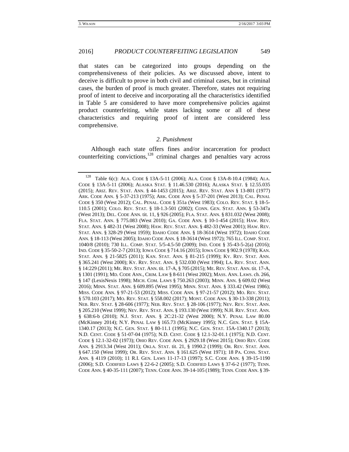that states can be categorized into groups depending on the comprehensiveness of their policies. As we discussed above, intent to deceive is difficult to prove in both civil and criminal cases, but in criminal cases, the burden of proof is much greater. Therefore, states not requiring proof of intent to deceive and incorporating all the characteristics identified in Table 5 are considered to have more comprehensive policies against product counterfeiting, while states lacking some or all of these characteristics and requiring proof of intent are considered less comprehensive.

#### *2. Punishment*

Although each state offers fines and/or incarceration for product counterfeiting convictions,<sup>128</sup> criminal charges and penalties vary across

<sup>128</sup> Table 6(c): ALA. CODE § 13A-5-11 (2006); ALA. CODE § 13A-8-10.4 (1984); ALA. CODE § 13A-5-11 (2006); ALASKA STAT. § 11.46.530 (2016); ALASKA STAT. § 12.55.035 (2015); ARIZ. REV. STAT. ANN. § 44-1453 (2015); ARIZ. REV. STAT. ANN § 13-801 (1977) ARK. CODE ANN. § 5-37-213 (1975); ARK. CODE ANN § 5-37-201 (West 2013); CAL. PENAL CODE § 350 (West 2012); CAL. PENAL. CODE § 351a (West 1983); COLO. REV. STAT. § 18-5- 110.5 (2001); COLO. REV. STAT. § 18-1.3-501 (2002); CONN. GEN. STAT. ANN. § 53-347a (West 2013); DEL. CODE ANN. tit. 11, § 926 (2005); FLA. STAT. ANN. § 831.032 (West 2008); FLA. STAT. ANN. § 775.083 (West 2010); GA. CODE ANN. § 10-1-454 (2015); HAW. REV. STAT. ANN. § 482-31 (West 2008); HAW. REV. STAT. ANN. § 482-33 (West 2001); HAW. REV. STAT. ANN. § 328-29 (West 1959); IDAHO CODE ANN. § 18-3614 (West 1972); IDAHO CODE ANN. § 18-113 (West 2005); IDAHO CODE ANN. § 18-3614 (West 1972); 765 ILL. COMP. STAT. 1040/8 (2010); 730 ILL. COMP. STAT. 5/5-4.5-50 (2009); IND. CODE § 35-43-5-2(a) (2016); IND. CODE § 35-50-2-7 (2013); IOWA CODE § 714.16 (2015); IOWA CODE § 902.9 (1978); KAN. STAT. ANN. § 21-5825 (2011); KAN. STAT. ANN. § 81-215 (1999); KY. REV. STAT. ANN. § 365.241 (West 2000); KY. REV. STAT. ANN. § 532.030 (West 1994); LA. REV. STAT. ANN. § 14:229 (2011); ME. REV. STAT. ANN. tit. 17-A, § 705 (2015); ME. REV. STAT. ANN. tit. 17-A, § 1301 (1991); MD. CODE ANN., CRIM. LAW § 8-611 (West 2002); MASS. ANN. LAWS. ch. 266, § 147 (LexisNexis 1998); MICH. COM. LAWS § 750.263 (2003); MINN. ANN. § 609.02 (West 2016); MINN. STAT. ANN. § 609.895 (West 1995); MINN. STAT. ANN. § 333.42 (West 1986); MISS. CODE ANN. § 97-21-53 (2012); MISS. CODE ANN. § 97-21-57 (2012); MO. REV. STAT. § 570.103 (2017); MO. REV. STAT. § 558.002 (2017); MONT. CODE ANN. § 30-13-338 (2011); NEB. REV. STAT. § 28-606 (1977); NEB. REV. STAT. § 28-106 (1977); NEV. REV. STAT. ANN. § 205.210 (West 1999); NEV. REV. STAT. ANN. § 193.130 (West 1999); N.H. REV. STAT. ANN. § 638:6-b (2010); N.J. STAT. ANN. § 2C:21-32 (West 2000); N.Y. PENAL LAW 80.00 (McKinney 2014); N.Y. PENAL LAW § 165.73 (McKinney 1995); N.C. GEN. STAT. § 15A-1340.17 (2013); N.C. GEN. STAT. § 80-11.1 (1995); N.C. GEN. STAT. 15A-1340.17 (2013); N.D. CENT. CODE § 51-07-04 (1975); N.D. CENT. CODE § 12.1-32-01.1 (1975); N.D. CENT. CODE § 12.1-32-02 (1973); OHIO REV. CODE ANN. § 2929.18 (West 2015); OHIO REV. CODE ANN. § 2913.34 (West 2011); OKLA. STAT. tit. 21, § 1990.2 (1999); OR. REV. STAT. ANN. § 647.150 (West 1999); OR. REV. STAT. ANN. § 161.625 (West 1971); 18 PA. CONS. STAT. ANN. § 4119 (2010); 11 R.I. GEN. LAWS 11-17-13 (1997); S.C. CODE ANN. § 39-15-1190 (2006); S.D. CODIFIED LAWS § 22-6-2 (2005); S.D. CODIFIED LAWS § 37-6-2 (1977); TENN. CODE ANN. § 40-35-111 (2007); TENN. CODE ANN. 39-14-105 (1989); TENN. CODE ANN. § 39-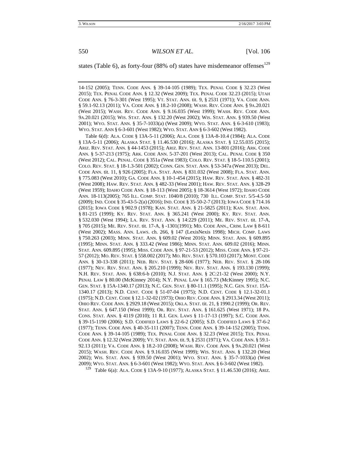states (Table 6), as forty-four (88% of) states have misdemeanor offenses $^{129}$ 

14-152 (2005); TENN. CODE ANN. § 39-14-105 (1989); TEX. PENAL CODE § 32.23 (West 2015); TEX. PENAL CODE ANN. § 12.32 (West 2009); TEX. PENAL CODE 32.23 (2015); UTAH CODE ANN. § 76-3-301 (West 1995); VT. STAT. ANN. tit. 9, § 2531 (1971); VA. CODE ANN. § 59.1-92.13 (2011); VA. CODE ANN. § 18.2-10 (2008); WASH. REV. CODE ANN. § 9A.20.021 (West 2015); WASH. REV. CODE ANN. § 9.16.035 (West 1999); WASH. REV. CODE ANN. 9A.20.021 (2015); WIS. STAT. ANN. § 132.20 (West 2002); WIS. STAT. ANN. § 939.50 (West 2001); WYO. STAT. ANN. § 35-7-1033(a) (West 2009); WYO. STAT. ANN. § 6-3-610 (1983); WYO. STAT. ANN § 6-3-601 (West 1982); WYO. STAT. ANN § 6-3-602 (West 1982).

 Table 6(d): ALA. CODE § 13A-5-11 (2006); ALA. CODE § 13A-8-10.4 (1984); ALA. CODE § 13A-5-11 (2006); ALASKA STAT. § 11.46.530 (2016); ALASKA STAT. § 12.55.035 (2015); ARIZ. REV. STAT. ANN. § 44-1453 (2015); ARIZ. REV. STAT. ANN. 13-801 (2016); ARK. CODE ANN. § 5-37-213 (1975); ARK. CODE ANN. 5-37-201 (West 2013); CAL. PENAL CODE § 350 (West 2012); CAL. PENAL. CODE § 351a (West 1983); COLO. REV. STAT. § 18-5-110.5 (2001); COLO. REV. STAT. § 18-1.3-501 (2002); CONN. GEN. STAT. ANN. § 53-347a (West 2013); DEL. CODE ANN. tit. 11, § 926 (2005); FLA. STAT. ANN. § 831.032 (West 2008); FLA. STAT. ANN. § 775.083 (West 2010); GA. CODE ANN. § 10-1-454 (2015); HAW. REV. STAT. ANN. § 482-31 (West 2008); HAW. REV. STAT. ANN. § 482-33 (West 2001); HAW. REV. STAT. ANN. § 328-29 (West 1959); IDAHO CODE ANN. § 18-113 (West 2005); § 18-3614 (West 1972); IDAHO CODE ANN. 18-113(2005); 765 ILL. COMP. STAT. 1040/8 (2010); 730 ILL. COMP. STAT. 5/5-4.5-50 (2009); IND. CODE § 35-43-5-2(a) (2016); IND. CODE § 35-50-2-7 (2013); IOWA CODE § 714.16 (2015); IOWA CODE § 902.9 (1978); KAN. STAT. ANN. § 21-5825 (2011); KAN. STAT. ANN. § 81-215 (1999); KY. REV. STAT. ANN. § 365.241 (West 2000); KY. REV. STAT. ANN. § 532.030 (West 1994); LA. REV. STAT. ANN. § 14:229 (2011); ME. REV. STAT. tit. 17-A, § 705 (2015); ME. REV. STAT. tit. 17-A, § -1301(1991); MD. CODE ANN., CRIM. LAW § 8-611 (West 2002); MASS. ANN. LAWS. ch. 266, § 147 (LexisNexis 1998); MICH. COMP. LAWS § 750.263 (2003); MINN. STAT. ANN. § 609.02 (West 2016); MINN. STAT. ANN. § 609.895 (1995); MINN. STAT. ANN. § 333.42 (West 1986); MINN. STAT. ANN. 609.02 (2016); MINN. STAT. ANN. 609.895 (1995); MISS. CODE ANN. § 97-21-53 (2012); MISS. CODE ANN. § 97-21- 57 (2012); MO. REV. STAT. § 558.002 (2017); MO. REV. STAT. § 570.103 (2017); MONT. CODE ANN. § 30-13-338 (2011); NEB. REV. STAT. § 28-606 (1977); NEB. REV. STAT. § 28-106 (1977); NEV. REV. STAT. ANN. § 205.210 (1999); NEV. REV. STAT. ANN. § 193.130 (1999); N.H. REV. STAT. ANN. § 638:6-b (2010); N.J. STAT. ANN. § 2C:21-32 (West 2000); N.Y. PENAL LAW § 80.00 (McKinney 2014); N.Y. PENAL LAW § 165.73 (McKinney 1995); N.C. GEN. STAT. § 15A-1340.17 (2013); N.C. GEN. STAT. § 80-11.1 (1995); N.C. GEN. STAT. 15A-1340.17 (2013); N.D. CENT. CODE § 51-07-04 (1975); N.D. CENT. CODE § 12.1-32-01.1 (1975); N.D. CENT. CODE § 12.1-32-02 (1973); OHIO REV. CODE ANN. § 2913.34 (West 2011); OHIO REV. CODE ANN. § 2929.18 (West 2015); OKLA. STAT. tit. 21, § 1990.2 (1999); OR. REV. STAT. ANN. § 647.150 (West 1999); OR. REV. STAT. ANN. § 161.625 (West 1971); 18 PA. CONS. STAT. ANN. § 4119 (2010); 11 R.I. GEN. LAWS § 11-17-13 (1997); S.C. CODE ANN. § 39-15-1190 (2006); S.D. CODIFIED LAWS § 22-6-2 (2005); S.D. CODIFIED LAWS § 37-6-2 (1977); TENN. CODE ANN. § 40-35-111 (2007); TENN. CODE ANN. § 39-14-152 (2005); TENN. CODE ANN. § 39-14-105 (1989); TEX. PENAL CODE ANN. § 32.23 (West 2015); TEX. PENAL CODE ANN. § 12.32 (West 2009); VT. STAT. ANN. tit. 9, § 2531 (1971); VA. CODE ANN. § 59.1- 92.13 (2011); VA. CODE ANN. § 18.2-10 (2008); WASH. REV. CODE ANN. § 9A.20.021 (West 2015); WASH. REV. CODE ANN. § 9.16.035 (West 1999); WIS. STAT. ANN. § 132.20 (West 2002); WIS. STAT. ANN. § 939.50 (West 2001); WYO. STAT. ANN. § 35-7-1033(a) (West 2009); WYO. STAT. ANN. § 6-3-601 (West 1982); WYO. STAT. ANN. § 6-3-602 (West 1982).

<sup>129</sup> Table 6(a): ALA. CODE § 13A-9-10 (1977); ALASKA STAT. § 11.46.530 (2016); ARIZ.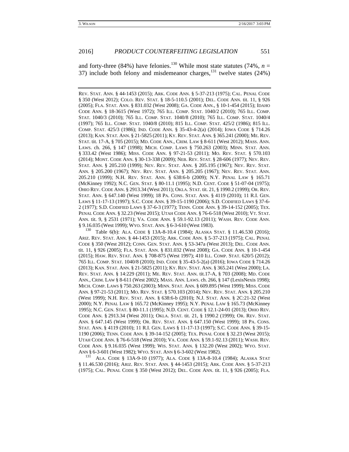and forty-three (84%) have felonies.<sup>130</sup> While most state statutes (74%,  $n =$ 37) include both felony and misdemeanor charges,  $^{131}$  twelve states (24%)

REV. STAT. ANN. § 44-1453 (2015); ARK. CODE ANN. § 5-37-213 (1975); CAL. PENAL CODE § 350 (West 2012); COLO. REV. STAT. § 18-5-110.5 (2001); DEL. CODE ANN. tit. 11, § 926 (2005); FLA. STAT. ANN. § 831.032 (West 2008); GA. CODE ANN., § 10-1-454 (2015); IDAHO CODE ANN. § 18-3615 (West 1972); 765 ILL. COMP. STAT. 1040/2 (2010); 765 ILL. COMP. STAT. 1040/3 (2010); 765 ILL. COMP. STAT. 1040/8 (2010); 765 ILL. COMP. STAT. 1040/4 (1997); 765 ILL. COMP. STAT. 1040/8 (2010); 815 ILL. COMP. STAT. 425/2 (1986); 815 ILL. COMP. STAT. 425/3 (1986); IND. CODE ANN. § 35-43-4-2(a) (2014); IOWA CODE § 714.26 (2013); KAN. STAT. ANN. § 21-5825 (2011); KY. REV. STAT. ANN. § 365.241 (2000); ME. REV. STAT. tit. 17-A, § 705 (2015); MD. CODE ANN., CRIM. LAW § 8-611 (West 2012); MASS. ANN. LAWS. ch. 266, § 147 (1998); MICH. COMP. LAWS § 750.263 (2003); MINN. STAT. ANN. § 333.42 (West 1986); MISS. CODE ANN. § 97-21-53 (2011); MO. REV. STAT. § 570.103 (2014); MONT. CODE ANN. § 30-13-338 (2009); NEB. REV. STAT. § 28-606 (1977); NEV. REV. STAT. ANN. § 205.210 (1999); NEV. REV. STAT. ANN. § 205.195 (1967); NEV. REV. STAT. ANN. § 205.200 (1967); NEV. REV. STAT. ANN. § 205.205 (1967); NEV. REV. STAT. ANN. 205.210 (1999); N.H. REV. STAT. ANN. § 638:6-b (2009); N.Y. PENAL LAW § 165.71 (McKinney 1992); N.C. GEN. STAT. § 80-11.1 (1995); N.D. CENT. CODE § 51-07-04 (1975); OHIO REV. CODE ANN. § 2913.34 (West 2011); OKLA. STAT. tit. 21, § 1990.2 (1999); OR. REV. STAT. ANN. § 647.140 (West 1999); 18 PA. CONS. STAT. ANN. § 4119 (2010); 11 R.I. GEN. LAWS § 11-17-13 (1997); S.C. CODE ANN. § 39-15-1190 (2006); S.D. CODIFIED LAWS § 37-6- 2 (1977); S.D. CODIFIED LAWS § 37-6-3 (1977); TENN. CODE ANN. § 39-14-152 (2005); TEX. PENAL CODE ANN. § 32.23 (West 2015); UTAH CODE ANN. § 76-6-518 (West 2010); VT. STAT. ANN. tit. 9, § 2531 (1971); VA. CODE ANN. § 59.1-92.13 (2011); WASH. REV. CODE ANN. § 9.16.035 (West 1999); WYO. STAT. ANN. § 6-3-610 (West 1983).<br><sup>130</sup> Table 6(b): ALA. CODE § 13A-8-10.4 (1984); ALASKA STAT. § 11.46.530 (2016);

ARIZ. REV. STAT. ANN. § 44-1453 (2015); ARK. CODE ANN. § 5-37-213 (1975); CAL. PENAL CODE § 350 (West 2012); CONN. GEN. STAT. ANN. § 53-347a (West 2013); DEL. CODE ANN. tit. 11, § 926 (2005); FLA. STAT. ANN. § 831.032 (West 2008); GA. CODE ANN. § 10-1-454 (2015); HAW. REV. STAT. ANN. § 708-875 (West 1997); 410 ILL. COMP. STAT. 620/5 (2012); 765 ILL. COMP. STAT. 1040/8 (2010); IND. CODE § 35-43-5-2(a) (2016); IOWA CODE § 714.26 (2013); KAN. STAT. ANN. § 21-5825 (2011); KY. REV. STAT. ANN. § 365.241 (West 2000); LA. REV. STAT. ANN. § 14:229 (2011); ME. REV. STAT. ANN. tit.17-A, § 703 (2008); MD. CODE ANN., CRIM. LAW § 8-611 (West 2002); MASS. ANN. LAWS. ch. 266, § 147 (LexisNexis 1998); MICH. COMP. LAWS § 750.263 (2003); MINN. STAT. ANN. § 609.895 (West 1999); MISS. CODE ANN. § 97-21-53 (2011); MO. REV. STAT. § 570.103 (2014); NEV. REV. STAT. ANN. § 205.210 (West 1999); N.H. REV. STAT. ANN. § 638:6-b (2010); N.J. STAT. ANN. § 2C:21-32 (West 2000); N.Y. PENAL LAW § 165.72 (McKinney 1995); N.Y. PENAL LAW § 165.73 (McKinney 1995); N.C. GEN. STAT. § 80-11.1 (1995); N.D. CENT. CODE § 12.1-24-01 (2013); OHIO REV. CODE ANN. § 2913.34 (West 2011); OKLA. STAT. tit. 21, § 1990.2 (1999); OR. REV. STAT. ANN. § 647.145 (West 1999); OR. REV. STAT. ANN. § 647.150 (West 1999); 18 PA. CONS. STAT. ANN. § 4119 (2010); 11 R.I. GEN. LAWS § 11-17-13 (1997); S.C. CODE ANN. § 39-15- 1190 (2006); TENN. CODE ANN. § 39-14-152 (2005); TEX. PENAL CODE § 32.23 (West 2015); UTAH CODE ANN. § 76-6-518 (West 2010); VA. CODE ANN. § 59.1-92.13 (2011); WASH. REV. CODE ANN. § 9.16.035 (West 1999); WIS. STAT. ANN. § 132.20 (West 2002); WYO. STAT. ANN § 6-3-601 (West 1982); WYO. STAT. ANN § 6-3-602 (West 1982).<br><sup>131</sup> ALA. CODE § 13A-9-10 (1977); ALA. CODE § 13A-8-10.4 (1984); ALASKA STAT

§ 11.46.530 (2016); ARIZ. REV. STAT. ANN. § 44-1453 (2015); ARK. CODE ANN. § 5-37-213 (1975); CAL. PENAL CODE § 350 (West 2012); DEL. CODE ANN. tit. 11, § 926 (2005); FLA.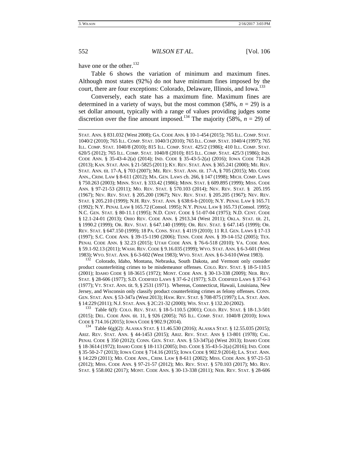have one or the other.<sup>132</sup>

Table 6 shows the variation of minimum and maximum fines. Although most states (92%) do not have minimum fines imposed by the court, there are four exceptions: Colorado, Delaware, Illinois, and Iowa.<sup>133</sup>

Conversely, each state has a maximum fine. Maximum fines are determined in a variety of ways, but the most common  $(58\%, n = 29)$  is a set dollar amount, typically with a range of values providing judges some discretion over the fine amount imposed.<sup>134</sup> The majority (58%,  $n = 29$ ) of

STAT. ANN. § 831.032 (West 2008); GA. CODE ANN. § 10-1-454 (2015); 765 ILL. COMP. STAT. 1040/2 (2010); 765 ILL. COMP. STAT. 1040/3 (2010); 765 ILL. COMP. STAT. 1040/4 (1997); 765 ILL. COMP. STAT. 1040/8 (2010); 815 ILL. COMP. STAT. 425/2 (1986); 410 ILL. COMP. STAT. 620/5 (2012); 765 ILL. COMP. STAT. 1040/8 (2010); 815 ILL. COMP. STAT. 425/3 (1986); IND. CODE ANN. § 35-43-4-2(a) (2014); IND. CODE § 35-43-5-2(a) (2016); IOWA CODE 714.26 (2013); KAN. STAT. ANN. § 21-5825 (2011); KY. REV. STAT. ANN. § 365.241 (2000); ME. REV. STAT. ANN. tit. 17-A, § 703 (2007); ME. REV. STAT. ANN. tit. 17-A, § 705 (2015); MD. CODE ANN., CRIM. LAW § 8-611 (2012); MA. GEN. LAWS ch. 266, § 147 (1998); MICH. COMP. LAWS § 750.263 (2003); MINN. STAT. § 333.42 (1986); MINN. STAT. § 609.895 (1999); MISS. CODE ANN. § 97-21-53 (2011); MO. REV. STAT. § 570.103 (2014); NEV. REV. STAT. § 205.195 (1967); NEV. REV. STAT. § 205.200 (1967); NEV. REV. STAT. § 205.205 (1967); NEV. REV. STAT. § 205.210 (1999); N.H. REV. STAT. ANN. § 638:6-b (2010); N.Y. PENAL LAW § 165.71 (1992); N.Y. PENAL LAW § 165.72 (Consol. 1995); N.Y. PENAL LAW § 165.73 (Consol. 1995); N.C. GEN. STAT. § 80-11.1 (1995); N.D. CENT. CODE § 51-07-04 (1975); N.D. CENT. CODE § 12.1-24-01 (2013); OHIO REV. CODE ANN. § 2913.34 (West 2011); OKLA. STAT. tit. 21, § 1990.2 (1999); OR. REV. STAT. § 647.140 (1999); OR. REV. STAT. § 647.145 (1999); OR. REV. STAT. § 647.150 (1999); 18 PA. CONS. STAT. § 4119 (2010); 11 R.I. GEN. LAWS § 17-13 (1997); S.C. CODE ANN. § 39-15-1190 (2006); TENN. CODE ANN. § 39-14-152 (2005); TEX. PENAL CODE ANN. § 32.23 (2015); UTAH CODE ANN. § 76-6-518 (2010); VA. CODE ANN. § 59.1-92.13 (2011); WASH. REV. CODE § 9.16.035 (1999); WYO. STAT. ANN. § 6-3-601 (West 1983); WYO. STAT. ANN. § 6-3-602 (West 1983); WYO. STAT. ANN. § 6-3-610 (West 1983).  $\frac{132}{132}$  Colorado, Idaho, Montana, Nebraska, South Dakota, and Vermont only consider

product counterfeiting crimes to be misdemeanor offenses. COLO. REV. STAT. § 18-5-110.5 (2001); IDAHO CODE § 18-3615 (1972); MONT. CODE ANN. § 30-13-338 (2009); NEB. REV. STAT. § 28-606 (1977); S.D. CODIFIED LAWS § 37-6-2 (1977); S.D. CODIFIED LAWS § 37-6-3 (1977); VT. STAT. ANN. tit. 9, § 2531 (1971). Whereas, Connecticut, Hawaii, Louisiana, New Jersey, and Wisconsin only classify product counterfeiting crimes as felony offenses. CONN. GEN. STAT. ANN. § 53-347a (West 2013); HAW. REV. STAT. § 708-875 (1997); LA. STAT. ANN.

§ 14:229 (2011); N.J. STAT. ANN. § 2C:21-32 (2000); WIS. STAT. § 132.20 (2002). 133 Table 6(f): COLO. REV. STAT. § 18-5-110.5 (2001); COLO. REV. STAT. § 18-1.3-501 (2015); DEL. CODE ANN. tit. 11, § 926 (2005); 765 ILL. COMP. STAT. 1040/8 (2010); IOWA CODE § 714.16 (2015); IOWA CODE § 902.9 (2014).<br><sup>134</sup> Table 6(g)(2): ALASKA STAT. § 11.46.530 (2016); ALASKA STAT. § 12.55.035 (2015);

ARIZ. REV. STAT. ANN. § 44-1453 (2015); ARIZ. REV. STAT. ANN § 13-801 (1978); CAL. PENAL CODE § 350 (2012); CONN. GEN. STAT. ANN. § 53-347(a) (West 2013); IDAHO CODE § 18-3614 (1972); IDAHO CODE § 18-113 (2005); IND. CODE § 35-43-5-2(a) (2016); IND. CODE § 35-50-2-7 (2013); IOWA CODE § 714.16 (2015); IOWA CODE § 902.9 (2014); LA. STAT. ANN. § 14:229 (2011); MD. CODE ANN., CRIM. LAW § 8-611 (2002); MISS. CODE ANN. § 97-21-53 (2012); MISS. CODE ANN. § 97-21-57 (2012); MO. REV. STAT. § 570.103 (2017); MO. REV. STAT. § 558.002 (2017); MONT. CODE ANN. § 30-13-338 (2011); NEB. REV. STAT. § 28-606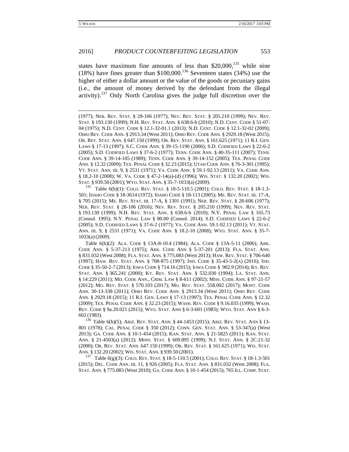states have maximum fine amounts of less than  $$20,000$ ,<sup>135</sup> while nine (18%) have fines greater than  $$100,000$ .<sup>136</sup> Seventeen states (34%) use the higher of either a dollar amount or the value of the goods or pecuniary gains (i.e., the amount of money derived by the defendant from the illegal activity).<sup>137</sup> Only North Carolina gives the judge full discretion over the

(1977); NEB. REV. STAT. § 28-106 (1977); NEV. REV. STAT. § 205.210 (1999); NEV. REV. STAT. § 193.130 (1999); N.H. REV. STAT. ANN. § 638:6-b (2010); N.D. CENT. CODE § 51-07- 04 (1975); N.D. CENT. CODE § 12.1-32-01.1 (2013); N.D. CENT. CODE § 12.1-32-02 (2009); OHIO REV. CODE ANN. § 2913.34 (West 2011); OHIO REV. CODE ANN. § 2929.18 (West 2015); OR. REV. STAT. ANN. § 647.150 (1999); OR. REV. STAT. ANN. § 161.625 (1971); 11 R.I. GEN. LAWS § 17-13 (1997); S.C. CODE ANN. § 39-15-1190 (2006); S.D. CODIFIED LAWS § 22-6-2 (2005); S.D. CODIFIED LAWS § 37-6-2 (1977); TENN. CODE ANN. § 40-35-111 (2007); TENN. CODE ANN. § 39-14-105 (1989); TENN. CODE ANN. § 39-14-152 (2005); TEX. PENAL CODE ANN. § 12.32 (2009); TEX. PENAL CODE § 32.23 (2015); UTAH CODE ANN. § 76-3-301 (1995); VT. STAT. ANN. tit. 9, § 2531 (1971); VA. CODE ANN. § 59.1-92.13 (2011); VA. CODE ANN. § 18.2-10 (2008); W. VA. CODE § 47-2-14(a)-(d) (1996); WIS. STAT. § 132.20 (2002); WIS. STAT. § 939.50 (2001); WYO. STAT. ANN. § 35-7-1033(a) (2009).<br><sup>135</sup> Table 6(h)(1): COLO. REV. STAT. § 18-5-110.5 (2001); COLO. REV. STAT. § 18-1.3-

501; IDAHO CODE § 18-3614 (1972); IDAHO CODE § 18-113 (2005); ME. REV. STAT. tit. 17-A, § 705 (2015); ME. REV. STAT. tit. 17-A, § 1301 (1991); NEB. REV. STAT. § 28-606 (1977); NEB. REV. STAT. § 28-106 (2016); NEV. REV. STAT. § 205.210 (1999); NEV. REV. STAT. § 193.130 (1999); N.H. REV. STAT. ANN. § 638:6-b (2010); N.Y. PENAL LAW § 165.73 (Consol. 1995); N.Y. PENAL LAW § 80.00 (Consol. 2014); S.D. CODIFIED LAWS § 22-6-2 (2005); S.D. CODIFIED LAWS § 37-6-2 (1977); VA. CODE ANN. 59.1-92.13 (2011); VT. STAT. ANN. tit. 9, § 2531 (1971); VA. CODE ANN. § 18.2-10 (2008); WYO. STAT. ANN. § 35-7- 1033(a) (2009).

 Table 6(h)(2): ALA. CODE § 13A-8-10.4 (1984); ALA. CODE § 13A-5-11 (2006); ARK. CODE ANN. § 5-37-213 (1975); ARK. CODE ANN § 5-37-201 (2013); FLA. STAT. ANN. § 831.032 (West 2008); FLA. STAT. ANN. § 775.083 (West 2013); HAW. REV. STAT. § 706-640 (1997); HAW. REV. STAT. ANN. § 708-875 (1997); IND. CODE § 35-43-5-2(A) (2016); IND. CODE § 35-50-2-7 (2013); IOWA CODE § 714.16 (2015); IOWA CODE § 902.9 (2014); KY. REV. STAT. ANN. § 365.241 (2000); KY. REV. STAT. ANN. § 532.030 (1994); LA. STAT. ANN. § 14:229 (2011); MD. CODE ANN., CRIM. LAW § 8-611 (2002); MISS. CODE ANN. § 97-21-57 (2012); MO. REV. STAT. § 570.103 (2017); MO. REV. STAT. 558.002 (2017); MONT. CODE ANN. 30-13-338 (2011); OHIO REV. CODE ANN. § 2913.34 (West 2011); OHIO REV. CODE ANN. § 2929.18 (2015); 11 R.I. GEN. LAWS § 17-13 (1997); TEX. PENAL CODE ANN. § 12.32 (2009); TEX. PENAL CODE ANN. § 32.23 (2015); WASH. REV. CODE § 9.16.035 (1999); WASH. REV. CODE § 9a.20.021 (2015); WYO. STAT. ANN § 6-3-601 (1983); WYO. STAT. ANN § 6-3- 602 (1983).

<sup>136</sup> Table 6(h)(5); ARIZ. REV. STAT. ANN. § 44-1453 (2015); ARIZ. REV. STAT. ANN § 13- 801 (1978); CAL. PENAL CODE § 350 (2012); CONN. GEN. STAT. ANN. § 53-347(a) (West 2013); GA. CODE ANN. § 10-1-454 (2015); KAN. STAT. ANN. § 21-5825 (2011); KAN. STAT. ANN. § 21-4503(a) (2012); MINN. STAT. § 609.895 (1999); N.J. STAT. ANN. § 2C:21-32 (2000); OR. REV. STAT. ANN. 647.150 (1999); OR. REV. STAT. § 161.625 (1971); WIS. STAT. ANN. § 132.20 (2002); WIS. STAT. ANN. § 939.50 (2001).<br><sup>137</sup> Table 6(g)(3): COLO. REV. STAT. § 18-5-110.5 (2001); COLO. REV. STAT. § 18-1.3-501

(2015); DEL. CODE ANN. tit. 11, § 926 (2005); FLA. STAT. ANN. § 831.032 (West 2008); FLA. STAT. ANN. § 775.083 (West 2010); GA. CODE ANN. § 10-1-454 (2015); 765 ILL. COMP. STAT.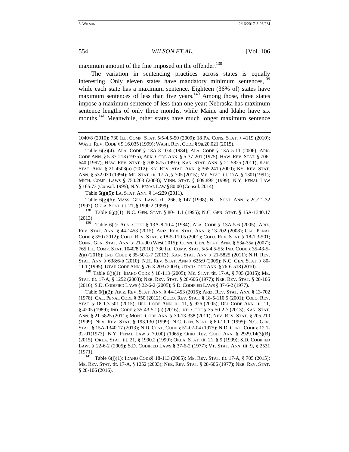maximum amount of the fine imposed on the offender.<sup>138</sup>

The variation in sentencing practices across states is equally interesting. Only eleven states have mandatory minimum sentences, $^{139}$ while each state has a maximum sentence. Eighteen (36% of) states have maximum sentences of less than five years. $140$  Among those, three states impose a maximum sentence of less than one year: Nebraska has maximum sentence lengths of only three months, while Maine and Idaho have six months.<sup>141</sup> Meanwhile, other states have much longer maximum sentence

1040/8 (2010); 730 ILL. COMP. STAT. 5/5-4.5-50 (2009); 18 PA. CONS. STAT. § 4119 (2010); WASH. REV. CODE § 9.16.035 (1999); WASH. REV. CODE § 9a.20.021 (2015).

 Table 6(g)(4): ALA. CODE § 13A-8-10.4 (1984); ALA. CODE § 13A-5-11 (2006); ARK. CODE ANN. § 5-37-213 (1975); ARK. CODE ANN. § 5-37-201 (1975); HAW. REV. STAT. § 706- 640 (1997); HAW. REV. STAT. § 708-875 (1997); KAN. STAT. ANN. § 21-5825 (2011); KAN. STAT. ANN. § 21-4503(a) (2012); KY. REV. STAT. ANN. § 365.241 (2000); KY. REV. STAT. ANN. § 532.030 (1994); ME. STAT. tit. 17-A, § 705 (2015); ME. STAT. tit. 17A, § 1301(1991); MICH. COMP. LAWS § 750.263 (2003); MINN. STAT. § 609.895 (1999); N.Y. PENAL LAW § 165.73 (Consol. 1995); N.Y. PENAL LAW § 80.00 (Consol. 2014).

Table 6(g)(5): LA. STAT. ANN. § 14:229 (2011).

 Table 6(g)(6): MASS. GEN. LAWS. ch. 266, § 147 (1998); N.J. STAT. ANN. § 2C:21-32 (1997); OKLA. STAT. tit. 21, § 1990.2 (1999).<br><sup>138</sup> Table 6(g)(1): N.C. Gen. Stat. § 80-11.1 (1995); N.C. Gen. Stat. § 15A-1340.17

(2013).

<sup>139</sup> Table 6(i): ALA. CODE § 13A-8-10.4 (1984); ALA. CODE § 13A-5-6 (2005); ARIZ. REV. STAT. ANN. § 44-1453 (2015); ARIZ. REV. STAT. ANN. § 13-702 (2008); CAL. PENAL CODE § 350 (2012); COLO. REV. STAT. § 18-5-110.5 (2001); COLO. REV. STAT. § 18-1.3-501; CONN. GEN. STAT. ANN. § 21a-90 (West 2015); CONN. GEN. STAT. ANN. § 53a-35a (2007); 765 ILL. COMP. STAT. 1040/8 (2010); 730 ILL. COMP. STAT. 5/5-4.5-55; IND. CODE § 35-43-5- 2(a) (2016); IND. CODE § 35-50-2-7 (2013); KAN. STAT. ANN. § 21-5825 (2011); N.H. REV. STAT. ANN. § 638:6-b (2010); N.H. REV. STAT. ANN § 625:9 (2009); N.C. GEN. STAT. § 80-

11.1 (1995); UTAH CODE ANN. § 76-3-203 (2003); UTAH CODE ANN. § 76-6-518 (2010). 140 Table 6(j)(1): IDAHO CODE § 18-113 (2005); ME. STAT. tit. 17-A, § <sup>705</sup> (2015); ME. STAT. tit. 17-A, § 1252 (2003); NEB. REV. STAT. § 28-606 (1977); NEB. REV. STAT. § 28-106 (2016); S.D. CODIFIED LAWS § 22-6-2 (2005); S.D. CODIFIED LAWS § 37-6-2 (1977).

 Table 6(j)(2): ARIZ. REV. STAT. ANN. § 44-1453 (2015); ARIZ. REV. STAT. ANN. § 13-702 (1978); CAL. PENAL CODE § 350 (2012); COLO. REV. STAT. § 18-5-110.5 (2001); COLO. REV. STAT. § 18-1.3-501 (2015); DEL. CODE ANN. tit. 11, § 926 (2005); DEL CODE ANN. tit. 11, § 4205 (1989); IND. CODE § 35-43-5-2(a) (2016); IND. CODE § 35-50-2-7 (2013); KAN. STAT. ANN. § 21-5825 (2011); MONT. CODE ANN. § 30-13-338 (2011); NEV. REV. STAT. § 205.210 (1999); NEV. REV. STAT. § 193.130 (1999); N.C. GEN. STAT. § 80-11.1 (1995); N.C. GEN. STAT. § 15A-1340.17 (2013); N.D. CENT. CODE § 51-07-04 (1975); N.D. CENT. CODE§ 12.1- 32-01(1973); N.Y. PENAL LAW § 70.00) (1965); OHIO REV. CODE ANN. § 2929.14(3)(B) (2015); OKLA. STAT. tit. 21, § 1990.2 (1999); OKLA. STAT. tit. 21, § 9 (1999); S.D. CODIFIED LAWS § 22-6-2 (2005); S.D. CODIFIED LAWS § 37-6-2 (1977); VT. STAT. ANN. tit. 9, § 2531

(1971).<br><sup>141</sup> Table 6(j)(1): IDAHO CODE§ 18-113 (2005); ME. REV. STAT. tit. 17-A, § 705 (2015); ME. REV. STAT. tit. 17-A, § 1252 (2003); NEB. REV. STAT. § 28-606 (1977); NEB. REV. STAT. § 28-106 (2016).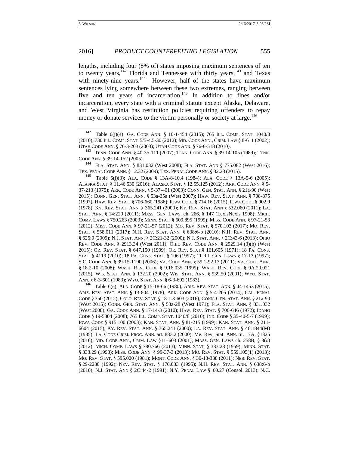lengths, including four (8% of) states imposing maximum sentences of ten to twenty years, $142$  Florida and Tennessee with thirty years, $143$  and Texas with ninety-nine years.<sup>144</sup> However, half of the states have maximum sentences lying somewhere between these two extremes, ranging between five and ten years of incarceration.<sup>145</sup> In addition to fines and/or incarceration, every state with a criminal statute except Alaska, Delaware, and West Virginia has restitution policies requiring offenders to repay money or donate services to the victim personally or society at large.<sup>146</sup>

<sup>142</sup> Table 6(j)(4): GA. CODE ANN. § 10-1-454 (2015); 765 ILL. COMP. STAT. 1040/8 (2010); 730 ILL. COMP. STAT. 5/5-4.5-30 (2012); MD. CODE ANN., CRIM. LAW § 8-611 (2002); UTAH CODE ANN. § 76-3-203 (2003); UTAH CODE ANN. § 76-6-518 (2010).<br><sup>143</sup> TENN. CODE ANN. § 40-35-111 (2007); TENN. CODE ANN. § 39-14-105 (1989); TENN.

TEX. PENAL CODE ANN. § 12.32 (2009); TEX. PENAL CODE ANN. § 32.23 (2015). 145 Table 6(j)(3): ALA. CODE § 13A-8-10.4 (1984); ALA. CODE § 13A-5-6 (2005);

ALASKA STAT. § 11.46.530 (2016); ALASKA STAT. § 12.55.125 (2012); ARK. CODE ANN. § 5- 37-213 (1975); ARK. CODE ANN. § 5-37-401 (2003); CONN. GEN. STAT. ANN. § 21a-90 (West 2015); CONN. GEN. STAT. ANN. § 53a-35a (West 2007); HAW. REV. STAT. ANN. § 708-875 (1997); HAW. REV. STAT. § 706-660 (1986); IOWA CODE § 714.16 (2015); IOWA CODE § 902.9 (1978); KY. REV. STAT. ANN. § 365.241 (2000); KY. REV. STAT. ANN § 532.060 (2011); LA. STAT. ANN. § 14:229 (2011); MASS. GEN. LAWS. ch. 266, § 147 (LexisNexis 1998); MICH. COMP. LAWS § 750.263 (2003); MINN. STAT. § 609.895 (1999); MISS. CODE ANN. § 97-21-53 (2012); MISS. CODE ANN. § 97-21-57 (2012); MO. REV. STAT. § 570.103 (2017); MO. REV. STAT. § 558.011 (2017); N.H. REV. STAT. ANN. § 638:6-b (2010); N.H. REV. STAT. ANN. § 625:9 (2009); N.J. STAT. ANN. § 2C:21-32 (2000); N.J. STAT. ANN. § 2C:43-6 (2013); OHIO REV. CODE ANN. § 2913.34 (West 2011); OHIO REV. CODE ANN. § 2929.14 (3)(b) (West 2015); OR. REV. STAT. § 647.150 (1999); OR. REV. STAT.§ 161.605 (1971); 18 PA. CONS. STAT. § 4119 (2010); 18 PA. CONS. STAT. § 106 (1997); 11 R.I. GEN. LAWS § 17-13 (1997); S.C. CODE ANN. § 39-15-1190 (2006); VA. CODE ANN. § 59.1-92.13 (2011); VA. CODE ANN. § 18.2-10 (2008); WASH. REV. CODE § 9.16.035 (1999); WASH. REV. CODE § 9A.20.021 (2015); WIS. STAT. ANN. § 132.20 (2002); WIS. STAT. ANN. § 939.50 (2001); WYO. STAT. ANN. § 6-3-601 (1983); WYO. STAT. ANN. § 6-3-602 (1983).<br><sup>146</sup> Table 6(e): ALA. CODE § 15-18-66 (1980); ARIZ. REV. STAT. ANN. § 44-1453 (2015);

ARIZ. REV. STAT. ANN. § 13-804 (1978); ARK. CODE ANN. § 5-4-205 (2014); CAL. PENAL CODE § 350 (2012); COLO. REV. STAT. § 18-1.3-603 (2016); CONN. GEN. STAT. ANN. § 21a-90 (West 2015); CONN. GEN. STAT. ANN. § 53a-28 (West 1971); FLA. STAT. ANN. § 831.032 (West 2008); GA. CODE ANN. § 17-14-3 (2010); HAW. REV. STAT. § 706-646 (1972); IDAHO CODE § 19-5304 (2008); 765 ILL. COMP. STAT. 1040/8 (2010); IND. CODE § 35-40-5-7 (1999); IOWA CODE § 915.100 (2003); KAN. STAT. ANN. § 81-215 (1999); KAN. STAT. ANN. § 211- 6604 (2015); KY. REV. STAT. ANN. § 365.241 (2000); LA. REV. STAT. ANN. § 46:1844(M) (1985); LA. CODE CRIM. PROC. ANN. art. 883.2 (2000); Me. Rev. Stat. ANN. tit. 17A, §1325 (2016); MD. CODE ANN., CRIM. LAW §11–603 (2001); MASS. GEN. LAWS ch. 258B, § 3(o) (2012); MICH. COMP. LAWS § 780.766 (2013); MINN. STAT. § 333.28 (1959); MINN. STAT. § 333.29 (1998); MISS. CODE ANN. § 99-37-3 (2013); MO. REV. STAT. § 559.105(1) (2013); MO. REV. STAT. § 595.020 (1981); MONT. CODE ANN. § 30-13-338 (2011); NEB. REV. STAT. § 29-2280 (1992); NEV. REV. STAT. § 176.033 (1995); N.H. REV. STAT. ANN. § 638:6-b (2010); N.J. STAT. ANN § 2C:44-2 (1991); N.Y. PENAL LAW § 60.27 (Consol. 2013); N.C.

CODE ANN. § 39-14-152 (2005).<br><sup>144</sup> FLA. STAT. ANN. § 831.032 (West 2008); FLA. STAT. ANN § 775.082 (West 2016);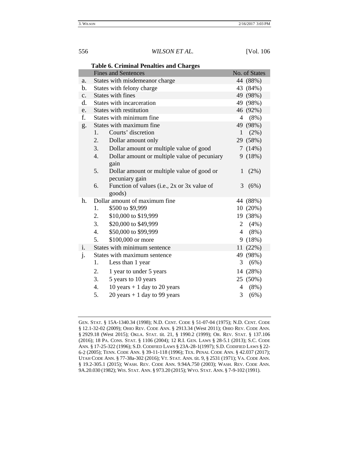|                | rable 6. Criminar renatues and Charges             |                           |
|----------------|----------------------------------------------------|---------------------------|
|                | <b>Fines and Sentences</b>                         | No. of States             |
| a.             | States with misdemeanor charge                     | 44 (88%)                  |
| b.             | States with felony charge                          | 43 (84%)                  |
| $C_{\bullet}$  | <b>States with fines</b>                           | 49 (98%)                  |
| d.             | States with incarceration                          | 49 (98%)                  |
| e.             | States with restitution                            | 46 (92%)                  |
| f.             | States with minimum fine                           | $(8\%)$<br>4              |
| g.             | States with maximum fine.                          | 49 (98%)                  |
|                | Courts' discretion<br>1.                           | $\mathbf{1}$<br>(2%)      |
|                | 2.<br>Dollar amount only                           | 29 (58%)                  |
|                | 3.<br>Dollar amount or multiple value of good      | (14%)<br>$7\phantom{.0}$  |
|                | Dollar amount or multiple value of pecuniary<br>4. | 9(18%)                    |
|                | gain                                               |                           |
|                | 5.<br>Dollar amount or multiple value of good or   | (2%)<br>1                 |
|                | pecuniary gain                                     |                           |
|                | 6.<br>Function of values (i.e., 2x or 3x value of  | 3<br>(6%)                 |
|                | goods)                                             |                           |
| h.             | Dollar amount of maximum fine                      | 44 (88%)                  |
|                | 1.<br>\$500 to \$9,999                             | 10(20%)                   |
|                | \$10,000 to \$19,999<br>2.                         | 19 (38%)                  |
|                | 3.<br>\$20,000 to \$49,999                         | (4%)<br>$\overline{2}$    |
|                | \$50,000 to \$99,999<br>4.                         | $\overline{4}$<br>$(8\%)$ |
|                | 5.<br>\$100,000 or more                            | (18%)<br>9                |
| $\mathbf{i}$ . | States with minimum sentence                       | (22%)<br>11               |
| $\mathbf{j}$ . | States with maximum sentence                       | 49 (98%)                  |
|                | 1.<br>Less than 1 year                             | 3<br>(6%)                 |
|                | 2.<br>1 year to under 5 years                      | 14 (28%)                  |
|                | 3.<br>5 years to 10 years                          | 25 (50%)                  |
|                | 10 years $+$ 1 day to 20 years<br>4.               | $(8\%)$<br>4              |
|                | 5.<br>20 years $+1$ day to 99 years                | 3<br>(6%)                 |

# **Table 6. Criminal Penalties and Charges**

GEN. STAT. § 15A-1340.34 (1998); N.D. CENT. CODE § 51-07-04 (1975); N.D. CENT. CODE § 12.1-32-02 (2009); OHIO REV. CODE ANN. § 2913.34 (West 2011); OHIO REV. CODE ANN. § 2929.18 (West 2015); OKLA. STAT. tit. 21, § 1990.2 (1999); OR. REV. STAT. § 137.106 (2016); 18 PA. CONS. STAT. § 1106 (2004); 12 R.I. GEN. LAWS § 28-5.1 (2013); S.C. CODE ANN. § 17-25-322 (1996); S.D. CODIFIED LAWS § 23A-28-1(1997); S.D. CODIFIED LAWS § 22- 6-2 (2005); TENN. CODE ANN. § 39-11-118 (1996); TEX. PENAL CODE ANN. § 42.037 (2017); UTAH CODE ANN. § 77-38a-302 (2016); VT. STAT. ANN. tit. 9, § 2531 (1971); VA. CODE ANN. § 19.2-305.1 (2015); WASH. REV. CODE ANN. 9.94A.750 (2003); WASH. REV. CODE ANN. 9A.20.030 (1982); WIS. STAT. ANN. § 973.20 (2015); WYO. STAT. ANN. § 7-9-102 (1991).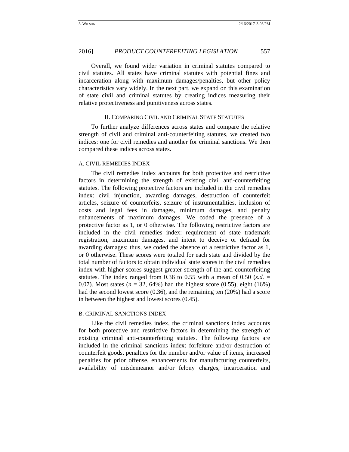Overall, we found wider variation in criminal statutes compared to civil statutes. All states have criminal statutes with potential fines and incarceration along with maximum damages/penalties, but other policy characteristics vary widely. In the next part, we expand on this examination of state civil and criminal statutes by creating indices measuring their relative protectiveness and punitiveness across states.

# II. COMPARING CIVIL AND CRIMINAL STATE STATUTES

To further analyze differences across states and compare the relative strength of civil and criminal anti-counterfeiting statutes, we created two indices: one for civil remedies and another for criminal sanctions. We then compared these indices across states.

### A. CIVIL REMEDIES INDEX

The civil remedies index accounts for both protective and restrictive factors in determining the strength of existing civil anti-counterfeiting statutes. The following protective factors are included in the civil remedies index: civil injunction, awarding damages, destruction of counterfeit articles, seizure of counterfeits, seizure of instrumentalities, inclusion of costs and legal fees in damages, minimum damages, and penalty enhancements of maximum damages. We coded the presence of a protective factor as 1, or 0 otherwise. The following restrictive factors are included in the civil remedies index: requirement of state trademark registration, maximum damages, and intent to deceive or defraud for awarding damages; thus, we coded the absence of a restrictive factor as 1, or 0 otherwise. These scores were totaled for each state and divided by the total number of factors to obtain individual state scores in the civil remedies index with higher scores suggest greater strength of the anti-counterfeiting statutes. The index ranged from 0.36 to 0.55 with a mean of 0.50  $(s.d. =$ 0.07). Most states  $(n = 32, 64\%)$  had the highest score  $(0.55)$ , eight  $(16\%)$ had the second lowest score (0.36), and the remaining ten (20%) had a score in between the highest and lowest scores (0.45).

# B. CRIMINAL SANCTIONS INDEX

Like the civil remedies index, the criminal sanctions index accounts for both protective and restrictive factors in determining the strength of existing criminal anti-counterfeiting statutes. The following factors are included in the criminal sanctions index: forfeiture and/or destruction of counterfeit goods, penalties for the number and/or value of items, increased penalties for prior offense, enhancements for manufacturing counterfeits, availability of misdemeanor and/or felony charges, incarceration and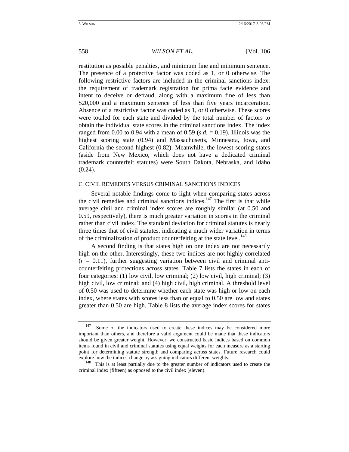restitution as possible penalties, and minimum fine and minimum sentence. The presence of a protective factor was coded as 1, or 0 otherwise. The following restrictive factors are included in the criminal sanctions index: the requirement of trademark registration for prima facie evidence and intent to deceive or defraud, along with a maximum fine of less than \$20,000 and a maximum sentence of less than five years incarceration. Absence of a restrictive factor was coded as 1, or 0 otherwise. These scores were totaled for each state and divided by the total number of factors to obtain the individual state scores in the criminal sanctions index. The index ranged from 0.00 to 0.94 with a mean of 0.59 ( $s.d. = 0.19$ ). Illinois was the highest scoring state (0.94) and Massachusetts, Minnesota, Iowa, and California the second highest (0.82). Meanwhile, the lowest scoring states (aside from New Mexico, which does not have a dedicated criminal trademark counterfeit statutes) were South Dakota, Nebraska, and Idaho  $(0.24)$ .

# C. CIVIL REMEDIES VERSUS CRIMINAL SANCTIONS INDICES

Several notable findings come to light when comparing states across the civil remedies and criminal sanctions indices.<sup>147</sup> The first is that while average civil and criminal index scores are roughly similar (at 0.50 and 0.59, respectively), there is much greater variation in scores in the criminal rather than civil index. The standard deviation for criminal statutes is nearly three times that of civil statutes, indicating a much wider variation in terms of the criminalization of product counterfeiting at the state level.<sup>148</sup>

A second finding is that states high on one index are not necessarily high on the other. Interestingly, these two indices are not highly correlated  $(r = 0.11)$ , further suggesting variation between civil and criminal anticounterfeiting protections across states. Table 7 lists the states in each of four categories: (1) low civil, low criminal; (2) low civil, high criminal; (3) high civil, low criminal; and (4) high civil, high criminal. A threshold level of 0.50 was used to determine whether each state was high or low on each index, where states with scores less than or equal to 0.50 are low and states greater than 0.50 are high. Table 8 lists the average index scores for states

 $147$  Some of the indicators used to create these indices may be considered more important than others, and therefore a valid argument could be made that these indicators should be given greater weight. However, we constructed basic indices based on common items found in civil and criminal statutes using equal weights for each measure as a starting point for determining statute strength and comparing across states. Future research could explore how the indices change by assigning indicators different weights. 148 This is at least partially due to the greater number of indicators used to create the

criminal index (fifteen) as opposed to the civil index (eleven).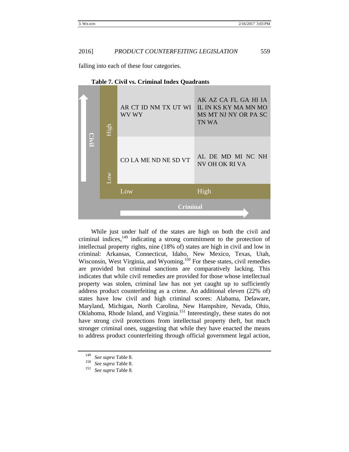falling into each of these four categories.

| High      | AR CT ID NM TX UT WI<br>WV WY | AK AZ CA FL GA HI IA<br>IL IN KS KY MA MN MO<br>MS MT NJ NY OR PA SC<br>TN WA |
|-----------|-------------------------------|-------------------------------------------------------------------------------|
| <b>NO</b> | CO LA ME ND NE SD VT          | AL DE MD MI NC NH<br>NV OH OK RI VA                                           |
|           | Low                           | High                                                                          |
|           | <b>Criminal</b>               |                                                                               |

**Table 7. Civil vs. Criminal Index Quadrants**

While just under half of the states are high on both the civil and criminal indices, $149$  indicating a strong commitment to the protection of intellectual property rights, nine (18% of) states are high in civil and low in criminal: Arkansas, Connecticut, Idaho, New Mexico, Texas, Utah, Wisconsin, West Virginia, and Wyoming.<sup>150</sup> For these states, civil remedies are provided but criminal sanctions are comparatively lacking. This indicates that while civil remedies are provided for those whose intellectual property was stolen, criminal law has not yet caught up to sufficiently address product counterfeiting as a crime. An additional eleven (22% of) states have low civil and high criminal scores: Alabama, Delaware, Maryland, Michigan, North Carolina, New Hampshire, Nevada, Ohio, Oklahoma, Rhode Island, and Virginia.151 Interestingly, these states do not have strong civil protections from intellectual property theft, but much stronger criminal ones, suggesting that while they have enacted the means to address product counterfeiting through official government legal action, **149 See supra Table 8.** 150 *See supra* Table 8. 149 *See supra* Table 8. 149 *See supra* Table 8. 150 *See supra* Table 8. 151 *See supra* Table 8. 151 *See supra* Table 8. 151 *See supra* Table 8. 151 *See supra* Tabl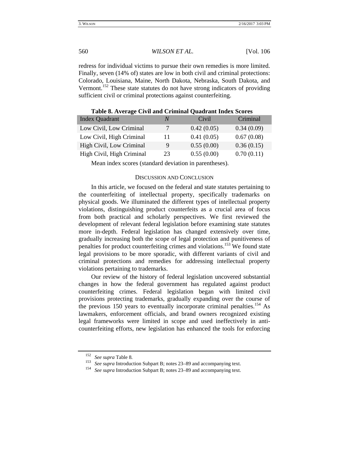redress for individual victims to pursue their own remedies is more limited. Finally, seven (14% of) states are low in both civil and criminal protections: Colorado, Louisiana, Maine, North Dakota, Nebraska, South Dakota, and Vermont.<sup>152</sup> These state statutes do not have strong indicators of providing sufficient civil or criminal protections against counterfeiting.

| <b>Index Quadrant</b>     | N  | Civil      | Criminal   |
|---------------------------|----|------------|------------|
| Low Civil, Low Criminal   | 7  | 0.42(0.05) | 0.34(0.09) |
| Low Civil, High Criminal  | 11 | 0.41(0.05) | 0.67(0.08) |
| High Civil, Low Criminal  | 9  | 0.55(0.00) | 0.36(0.15) |
| High Civil, High Criminal | 23 | 0.55(0.00) | 0.70(0.11) |

**Table 8. Average Civil and Criminal Quadrant Index Scores**

Mean index scores (standard deviation in parentheses).

#### DISCUSSION AND CONCLUSION

In this article, we focused on the federal and state statutes pertaining to the counterfeiting of intellectual property, specifically trademarks on physical goods. We illuminated the different types of intellectual property violations, distinguishing product counterfeits as a crucial area of focus from both practical and scholarly perspectives. We first reviewed the development of relevant federal legislation before examining state statutes more in-depth. Federal legislation has changed extensively over time, gradually increasing both the scope of legal protection and punitiveness of penalties for product counterfeiting crimes and violations.153 We found state legal provisions to be more sporadic, with different variants of civil and criminal protections and remedies for addressing intellectual property violations pertaining to trademarks.

Our review of the history of federal legislation uncovered substantial changes in how the federal government has regulated against product counterfeiting crimes. Federal legislation began with limited civil provisions protecting trademarks, gradually expanding over the course of the previous 150 years to eventually incorporate criminal penalties.<sup>154</sup> As lawmakers, enforcement officials, and brand owners recognized existing legal frameworks were limited in scope and used ineffectively in anticounterfeiting efforts, new legislation has enhanced the tools for enforcing

<sup>152</sup> *See supra* Table 8*.*

<sup>&</sup>lt;sup>153</sup> *See supra* Introduction Subpart B; notes 23–89 and accompanying text. *See supra* Introduction Subpart B; notes 23–89 and accompanying text.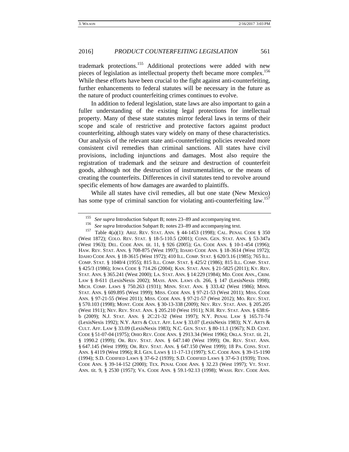trademark protections.<sup>155</sup> Additional protections were added with new pieces of legislation as intellectual property theft became more complex.<sup>156</sup> While these efforts have been crucial to the fight against anti-counterfeiting, further enhancements to federal statutes will be necessary in the future as the nature of product counterfeiting crimes continues to evolve.

In addition to federal legislation, state laws are also important to gain a fuller understanding of the existing legal protections for intellectual property. Many of these state statutes mirror federal laws in terms of their scope and scale of restrictive and protective factors against product counterfeiting, although states vary widely on many of these characteristics. Our analysis of the relevant state anti-counterfeiting policies revealed more consistent civil remedies than criminal sanctions. All states have civil provisions, including injunctions and damages. Most also require the registration of trademark and the seizure and destruction of counterfeit goods, although not the destruction of instrumentalities, or the means of creating the counterfeits. Differences in civil statutes tend to revolve around specific elements of how damages are awarded to plaintiffs.

While all states have civil remedies, all but one state (New Mexico) has some type of criminal sanction for violating anti-counterfeiting law.<sup>157</sup>

<sup>155</sup> See supra Introduction Subpart B; notes 23–89 and accompanying text.<br><sup>156</sup> See supra Introduction Subpart B; notes 23–89 and accompanying text.<br><sup>157</sup> Table 4(a)(1): ARIZ. REV. STAT. ANN. § 44-1453 (1998); CAL. PENAL (West 1872); COLO. REV. STAT. § 18-5-110.5 (2001); CONN. GEN. STAT. ANN. § 53-347a (West 1963); DEL. CODE ANN. tit. 11, § 926 (2005); GA. CODE ANN. § 10-1-454 (1996); HAW. REV. STAT. ANN. § 708-875 (West 1997); IDAHO CODE ANN. § 18-3614 (West 1972); IDAHO CODE ANN. § 18-3615 (West 1972); 410 ILL. COMP. STAT. § 620/3.16 (1985); 765 ILL. COMP. STAT. § 1040/4 (1955); 815 ILL. COMP. STAT. § 425/2 (1986); 815 ILL. COMP. STAT. § 425/3 (1986); IOWA CODE § 714.26 (2004); KAN. STAT. ANN. § 21-5825 (2011); KY. REV. STAT. ANN. § 365.241 (West 2000); LA. STAT. ANN. § 14:229 (1984); MD. CODE ANN., CRIM. LAW § 8-611 (LexisNexis 2002); MASS. ANN. LAWS ch. 266, § 147 (LexisNexis 1998); MICH. COMP. LAWS § 750.263 (1931); MINN. STAT. ANN. § 333.42 (West 1986); MINN. STAT. ANN. § 609.895 (West 1999); MISS. CODE ANN. § 97-21-53 (West 2011); MISS. CODE ANN. § 97-21-55 (West 2011); MISS. CODE ANN. § 97-21-57 (West 2012); MO. REV. STAT. § 570.103 (1998); MONT. CODE ANN. § 30-13-338 (2009); NEV. REV. STAT. ANN. § 205.205 (West 1911); NEV. REV. STAT. ANN. § 205.210 (West 1911); N.H. REV. STAT. ANN. § 638:6 b (2009); N.J. STAT. ANN. § 2C:21-32 (West 1997); N.Y. PENAL LAW § 165.71-74 (LexisNexis 1992); N.Y. ARTS & CULT. AFF. LAW § 33.07 (LexisNexis 1983); N.Y. ARTS & CULT. AFF. LAW § 33.09 (LexisNexis 1983); N.C. GEN. STAT. § 80-11.1 (1967); N.D. CENT. CODE § 51-07-04 (1975); OHIO REV. CODE ANN. § 2913.34 (West 1996); OKLA. STAT. tit. 21, § 1990.2 (1999); OR. REV. STAT. ANN. § 647.140 (West 1999); OR. REV. STAT. ANN. § 647.145 (West 1999); OR. REV. STAT. ANN. § 647.150 (West 1999); 18 PA. CONS. STAT. ANN. § 4119 (West 1996); R.I. GEN. LAWS § 11-17-13 (1997); S.C. CODE ANN. § 39-15-1190 (1994); S.D. CODIFIED LAWS § 37-6-2 (1939); S.D. CODIFIED LAWS § 37-6-3 (1939); TENN. CODE ANN. § 39-14-152 (2000); TEX. PENAL CODE ANN. § 32.23 (West 1997); VT. STAT. ANN. tit. 9, § 2530 (1957); VA. CODE ANN. § 59.1-92.13 (1998); WASH. REV. CODE ANN.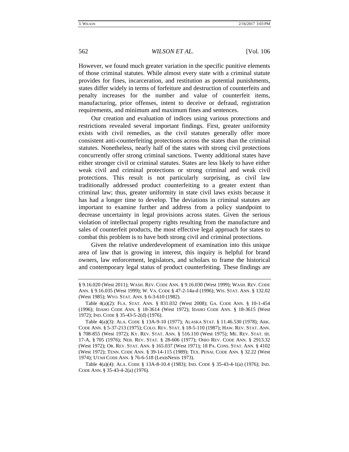However, we found much greater variation in the specific punitive elements of those criminal statutes. While almost every state with a criminal statute provides for fines, incarceration, and restitution as potential punishments, states differ widely in terms of forfeiture and destruction of counterfeits and penalty increases for the number and value of counterfeit items, manufacturing, prior offenses, intent to deceive or defraud, registration requirements, and minimum and maximum fines and sentences.

Our creation and evaluation of indices using various protections and restrictions revealed several important findings. First, greater uniformity exists with civil remedies, as the civil statutes generally offer more consistent anti-counterfeiting protections across the states than the criminal statutes. Nonetheless, nearly half of the states with strong civil protections concurrently offer strong criminal sanctions. Twenty additional states have either stronger civil or criminal statutes. States are less likely to have either weak civil and criminal protections or strong criminal and weak civil protections. This result is not particularly surprising, as civil law traditionally addressed product counterfeiting to a greater extent than criminal law; thus, greater uniformity in state civil laws exists because it has had a longer time to develop. The deviations in criminal statutes are important to examine further and address from a policy standpoint to decrease uncertainty in legal provisions across states. Given the serious violation of intellectual property rights resulting from the manufacture and sales of counterfeit products, the most effective legal approach for states to combat this problem is to have both strong civil and criminal protections.

Given the relative underdevelopment of examination into this unique area of law that is growing in interest, this inquiry is helpful for brand owners, law enforcement, legislators, and scholars to frame the historical and contemporary legal status of product counterfeiting. These findings are

<sup>§ 9.16.020 (</sup>West 2011); WASH. REV. CODE ANN. § 9.16.030 (West 1999); WASH. REV. CODE ANN. § 9.16.035 (West 1999); W. VA. CODE § 47-2-14a-d (1996); WIS. STAT. ANN. § 132.02 (West 1985); WYO. STAT. ANN. § 6-3-610 (1982).

Table 4(a)(2): FLA. STAT. ANN. § 831.032 (West 2008); GA. CODE ANN. § 10-1-454 (1996); IDAHO CODE ANN. § 18-3614 (West 1972); IDAHO CODE ANN. § 18-3615 (West 1972); IND. CODE § 35-43-5-2(d) (1976).

Table 4(a)(3): ALA. CODE § 13A-9-10 (1977); ALASKA STAT. § 11.46.530 (1978); ARK. CODE ANN. § 5-37-213 (1975); COLO. REV. STAT. § 18-5-110 (1987); HAW. REV. STAT. ANN. § 708-855 (West 1972); KY. REV. STAT. ANN. § 516.110 (West 1975); ME. REV. STAT. tit. 17-A, § 705 (1976); NEB. REV. STAT. § 28-606 (1977); OHIO REV. CODE ANN. § 2913.32 (West 1972); OR. REV. STAT. ANN. § 165.037 (West 1971); 18 PA. CONS. STAT. ANN. § 4102 (West 1972); TENN. CODE ANN. § 39-14-115 (1989); TEX. PENAL CODE ANN. § 32.22 (West 1974); UTAH CODE ANN. § 76-6-518 (LexisNexis 1973).

Table 4(a)(4): ALA. CODE § 13A-8-10.4 (1983); IND. CODE § 35-43-4-1(a) (1976); IND. CODE ANN. § 35-43-4-2(a) (1976).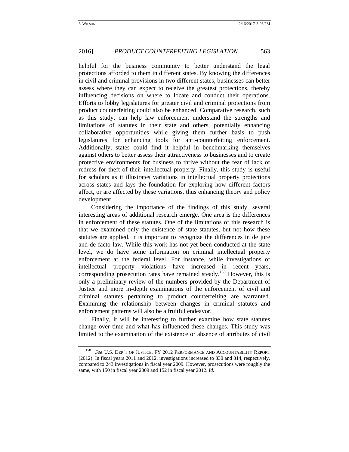helpful for the business community to better understand the legal protections afforded to them in different states. By knowing the differences in civil and criminal provisions in two different states, businesses can better assess where they can expect to receive the greatest protections, thereby influencing decisions on where to locate and conduct their operations. Efforts to lobby legislatures for greater civil and criminal protections from product counterfeiting could also be enhanced. Comparative research, such as this study, can help law enforcement understand the strengths and limitations of statutes in their state and others, potentially enhancing collaborative opportunities while giving them further basis to push legislatures for enhancing tools for anti-counterfeiting enforcement. Additionally, states could find it helpful in benchmarking themselves against others to better assess their attractiveness to businesses and to create protective environments for business to thrive without the fear of lack of redress for theft of their intellectual property. Finally, this study is useful for scholars as it illustrates variations in intellectual property protections across states and lays the foundation for exploring how different factors affect, or are affected by these variations, thus enhancing theory and policy development.

Considering the importance of the findings of this study, several interesting areas of additional research emerge. One area is the differences in enforcement of these statutes. One of the limitations of this research is that we examined only the existence of state statutes, but not how these statutes are applied. It is important to recognize the differences in de jure and de facto law. While this work has not yet been conducted at the state level, we do have some information on criminal intellectual property enforcement at the federal level. For instance, while investigations of intellectual property violations have increased in recent years, corresponding prosecution rates have remained steady.<sup>158</sup> However, this is only a preliminary review of the numbers provided by the Department of Justice and more in-depth examinations of the enforcement of civil and criminal statutes pertaining to product counterfeiting are warranted. Examining the relationship between changes in criminal statutes and enforcement patterns will also be a fruitful endeavor.

Finally, it will be interesting to further examine how state statutes change over time and what has influenced these changes. This study was limited to the examination of the existence or absence of attributes of civil

<sup>158</sup> *See* U.S. DEP'T OF JUSTICE, FY 2012 PERFORMANCE AND ACCOUNTABILITY REPORT (2012). In fiscal years 2011 and 2012, investigations increased to 330 and 314, respectively, compared to 243 investigations in fiscal year 2009. However, prosecutions were roughly the same, with 150 in fiscal year 2009 and 152 in fiscal year 2012. *Id.*